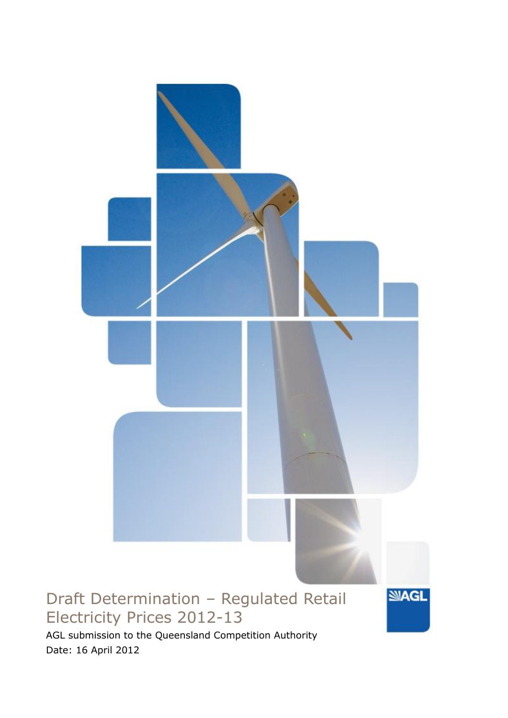

AGL submission to the Queensland Competition Authority Date: 16 April 2012

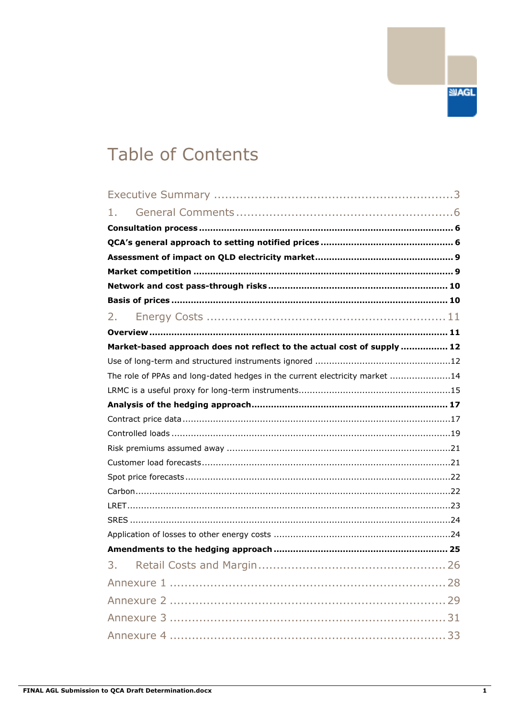# **Table of Contents**

| 1.                                                                          |  |
|-----------------------------------------------------------------------------|--|
|                                                                             |  |
|                                                                             |  |
|                                                                             |  |
|                                                                             |  |
|                                                                             |  |
|                                                                             |  |
| 2.                                                                          |  |
|                                                                             |  |
| Market-based approach does not reflect to the actual cost of supply  12     |  |
|                                                                             |  |
| The role of PPAs and long-dated hedges in the current electricity market 14 |  |
|                                                                             |  |
|                                                                             |  |
|                                                                             |  |
|                                                                             |  |
|                                                                             |  |
|                                                                             |  |
|                                                                             |  |
|                                                                             |  |
|                                                                             |  |
|                                                                             |  |
|                                                                             |  |
|                                                                             |  |
| 3.                                                                          |  |
|                                                                             |  |
|                                                                             |  |
|                                                                             |  |
|                                                                             |  |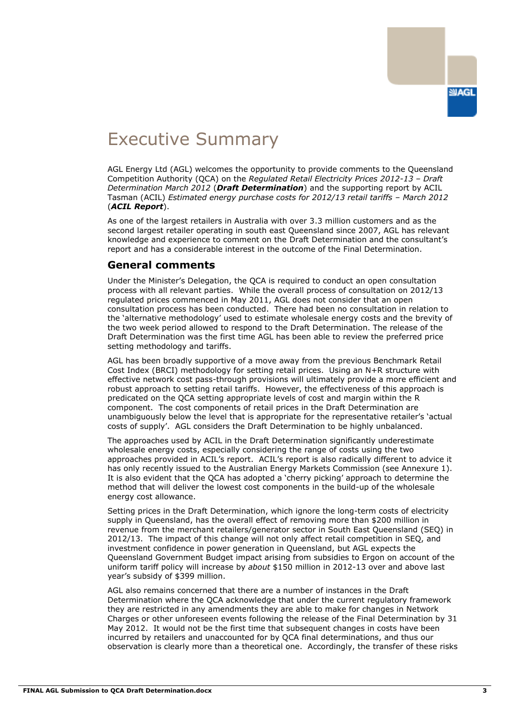

## Executive Summary

AGL Energy Ltd (AGL) welcomes the opportunity to provide comments to the Queensland Competition Authority (QCA) on the *Regulated Retail Electricity Prices 2012-13 – Draft Determination March 2012* (*Draft Determination*) and the supporting report by ACIL Tasman (ACIL) *Estimated energy purchase costs for 2012/13 retail tariffs - March 2012* (*ACIL Report*).

As one of the largest retailers in Australia with over 3.3 million customers and as the second largest retailer operating in south east Queensland since 2007, AGL has relevant knowledge and experience to comment on the Draft Determination and the consultant"s report and has a considerable interest in the outcome of the Final Determination.

### **General comments**

Under the Minister"s Delegation, the QCA is required to conduct an open consultation process with all relevant parties. While the overall process of consultation on 2012/13 regulated prices commenced in May 2011, AGL does not consider that an open consultation process has been conducted. There had been no consultation in relation to the "alternative methodology" used to estimate wholesale energy costs and the brevity of the two week period allowed to respond to the Draft Determination. The release of the Draft Determination was the first time AGL has been able to review the preferred price setting methodology and tariffs.

AGL has been broadly supportive of a move away from the previous Benchmark Retail Cost Index (BRCI) methodology for setting retail prices. Using an N+R structure with effective network cost pass-through provisions will ultimately provide a more efficient and robust approach to setting retail tariffs. However, the effectiveness of this approach is predicated on the QCA setting appropriate levels of cost and margin within the R component. The cost components of retail prices in the Draft Determination are unambiguously below the level that is appropriate for the representative retailer"s "actual costs of supply". AGL considers the Draft Determination to be highly unbalanced.

The approaches used by ACIL in the Draft Determination significantly underestimate wholesale energy costs, especially considering the range of costs using the two approaches provided in ACIL's report. ACIL's report is also radically different to advice it has only recently issued to the Australian Energy Markets Commission (see Annexure 1). It is also evident that the QCA has adopted a "cherry picking" approach to determine the method that will deliver the lowest cost components in the build-up of the wholesale energy cost allowance.

Setting prices in the Draft Determination, which ignore the long-term costs of electricity supply in Queensland, has the overall effect of removing more than \$200 million in revenue from the merchant retailers/generator sector in South East Queensland (SEQ) in 2012/13. The impact of this change will not only affect retail competition in SEQ, and investment confidence in power generation in Queensland, but AGL expects the Queensland Government Budget impact arising from subsidies to Ergon on account of the uniform tariff policy will increase by *about* \$150 million in 2012-13 over and above last year"s subsidy of \$399 million.

AGL also remains concerned that there are a number of instances in the Draft Determination where the QCA acknowledge that under the current regulatory framework they are restricted in any amendments they are able to make for changes in Network Charges or other unforeseen events following the release of the Final Determination by 31 May 2012. It would not be the first time that subsequent changes in costs have been incurred by retailers and unaccounted for by QCA final determinations, and thus our observation is clearly more than a theoretical one. Accordingly, the transfer of these risks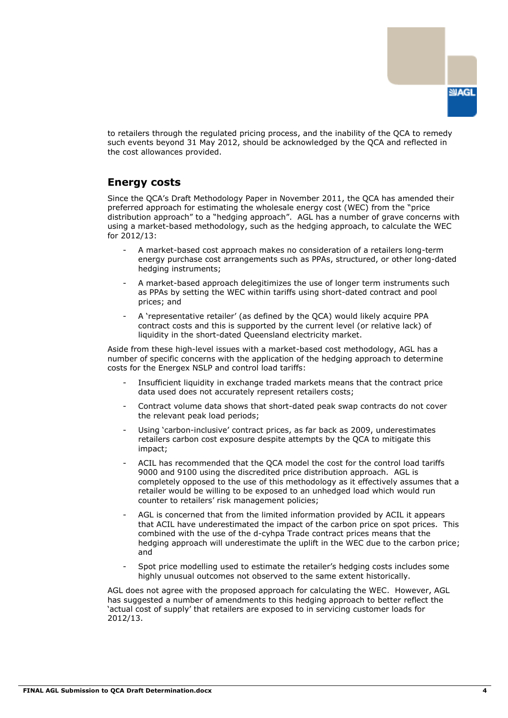

to retailers through the regulated pricing process, and the inability of the QCA to remedy such events beyond 31 May 2012, should be acknowledged by the QCA and reflected in the cost allowances provided.

### **Energy costs**

Since the QCA"s Draft Methodology Paper in November 2011, the QCA has amended their preferred approach for estimating the wholesale energy cost (WEC) from the "price distribution approach" to a "hedging approach". AGL has a number of grave concerns with using a market-based methodology, such as the hedging approach, to calculate the WEC for 2012/13:

- A market-based cost approach makes no consideration of a retailers long-term energy purchase cost arrangements such as PPAs, structured, or other long-dated hedging instruments;
- A market-based approach delegitimizes the use of longer term instruments such as PPAs by setting the WEC within tariffs using short-dated contract and pool prices; and
- A "representative retailer" (as defined by the QCA) would likely acquire PPA contract costs and this is supported by the current level (or relative lack) of liquidity in the short-dated Queensland electricity market.

Aside from these high-level issues with a market-based cost methodology, AGL has a number of specific concerns with the application of the hedging approach to determine costs for the Energex NSLP and control load tariffs:

- Insufficient liquidity in exchange traded markets means that the contract price data used does not accurately represent retailers costs;
- Contract volume data shows that short-dated peak swap contracts do not cover the relevant peak load periods;
- Using 'carbon-inclusive' contract prices, as far back as 2009, underestimates retailers carbon cost exposure despite attempts by the QCA to mitigate this impact;
- ACIL has recommended that the QCA model the cost for the control load tariffs 9000 and 9100 using the discredited price distribution approach. AGL is completely opposed to the use of this methodology as it effectively assumes that a retailer would be willing to be exposed to an unhedged load which would run counter to retailers" risk management policies;
- AGL is concerned that from the limited information provided by ACIL it appears that ACIL have underestimated the impact of the carbon price on spot prices. This combined with the use of the d-cyhpa Trade contract prices means that the hedging approach will underestimate the uplift in the WEC due to the carbon price; and
- Spot price modelling used to estimate the retailer's hedging costs includes some highly unusual outcomes not observed to the same extent historically.

AGL does not agree with the proposed approach for calculating the WEC. However, AGL has suggested a number of amendments to this hedging approach to better reflect the "actual cost of supply" that retailers are exposed to in servicing customer loads for 2012/13.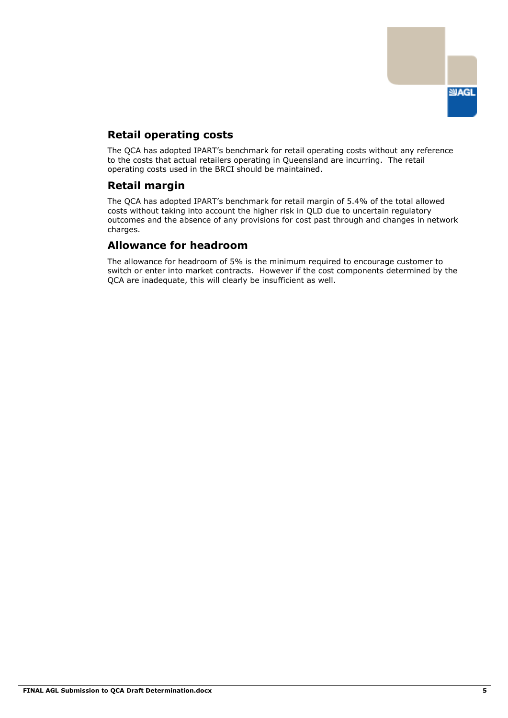

## **Retail operating costs**

The QCA has adopted IPART"s benchmark for retail operating costs without any reference to the costs that actual retailers operating in Queensland are incurring. The retail operating costs used in the BRCI should be maintained.

## **Retail margin**

The QCA has adopted IPART"s benchmark for retail margin of 5.4% of the total allowed costs without taking into account the higher risk in QLD due to uncertain regulatory outcomes and the absence of any provisions for cost past through and changes in network charges.

## **Allowance for headroom**

The allowance for headroom of 5% is the minimum required to encourage customer to switch or enter into market contracts. However if the cost components determined by the QCA are inadequate, this will clearly be insufficient as well.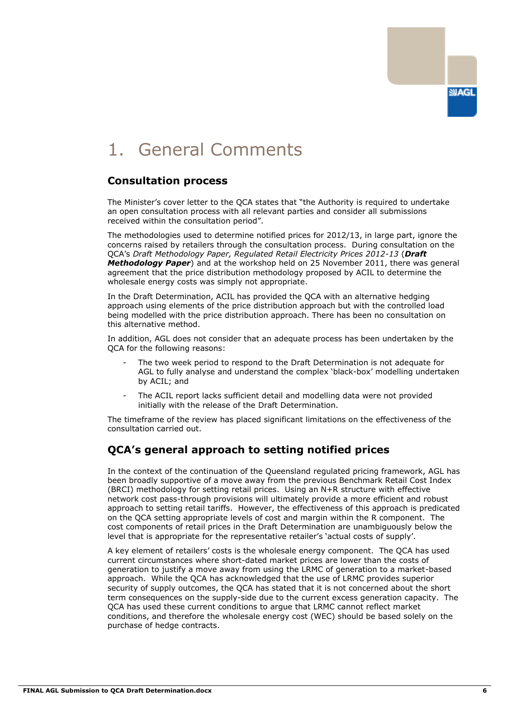

# 1. General Comments

### **Consultation process**

The Minister"s cover letter to the QCA states that "the Authority is required to undertake an open consultation process with all relevant parties and consider all submissions received within the consultation period".

The methodologies used to determine notified prices for 2012/13, in large part, ignore the concerns raised by retailers through the consultation process. During consultation on the QCA"s *Draft Methodology Paper, Regulated Retail Electricity Prices 2012-13* (*Draft Methodology Paper*) and at the workshop held on 25 November 2011, there was general agreement that the price distribution methodology proposed by ACIL to determine the wholesale energy costs was simply not appropriate.

In the Draft Determination, ACIL has provided the QCA with an alternative hedging approach using elements of the price distribution approach but with the controlled load being modelled with the price distribution approach. There has been no consultation on this alternative method.

In addition, AGL does not consider that an adequate process has been undertaken by the QCA for the following reasons:

- The two week period to respond to the Draft Determination is not adequate for AGL to fully analyse and understand the complex "black-box" modelling undertaken by ACIL; and
- The ACIL report lacks sufficient detail and modelling data were not provided initially with the release of the Draft Determination.

The timeframe of the review has placed significant limitations on the effectiveness of the consultation carried out.

## **QCA's general approach to setting notified prices**

In the context of the continuation of the Queensland regulated pricing framework, AGL has been broadly supportive of a move away from the previous Benchmark Retail Cost Index (BRCI) methodology for setting retail prices. Using an N+R structure with effective network cost pass-through provisions will ultimately provide a more efficient and robust approach to setting retail tariffs. However, the effectiveness of this approach is predicated on the QCA setting appropriate levels of cost and margin within the R component. The cost components of retail prices in the Draft Determination are unambiguously below the level that is appropriate for the representative retailer"s "actual costs of supply".

A key element of retailers" costs is the wholesale energy component. The QCA has used current circumstances where short-dated market prices are lower than the costs of generation to justify a move away from using the LRMC of generation to a market-based approach. While the QCA has acknowledged that the use of LRMC provides superior security of supply outcomes, the QCA has stated that it is not concerned about the short term consequences on the supply-side due to the current excess generation capacity. The QCA has used these current conditions to argue that LRMC cannot reflect market conditions, and therefore the wholesale energy cost (WEC) should be based solely on the purchase of hedge contracts.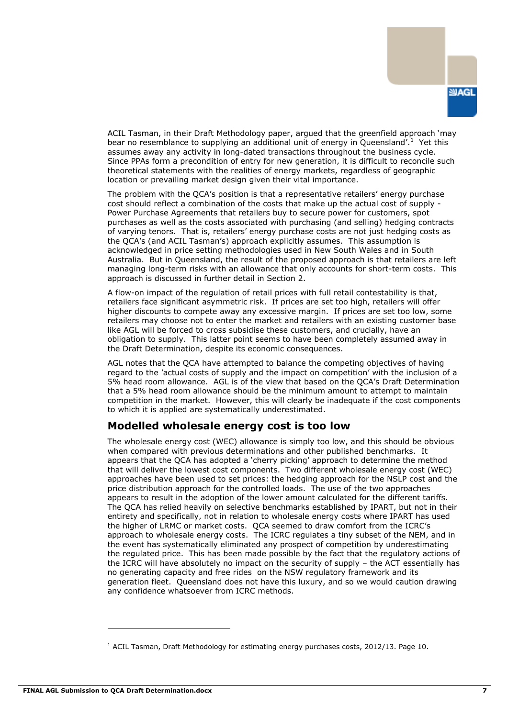

ACIL Tasman, in their Draft Methodology paper, argued that the greenfield approach "may bear no resemblance to supplying an additional unit of energy in Queensland'.<sup>1</sup> Yet this assumes away any activity in long-dated transactions throughout the business cycle. Since PPAs form a precondition of entry for new generation, it is difficult to reconcile such theoretical statements with the realities of energy markets, regardless of geographic location or prevailing market design given their vital importance.

The problem with the QCA"s position is that a representative retailers" energy purchase cost should reflect a combination of the costs that make up the actual cost of supply - Power Purchase Agreements that retailers buy to secure power for customers, spot purchases as well as the costs associated with purchasing (and selling) hedging contracts of varying tenors. That is, retailers" energy purchase costs are not just hedging costs as the QCA"s (and ACIL Tasman"s) approach explicitly assumes. This assumption is acknowledged in price setting methodologies used in New South Wales and in South Australia. But in Queensland, the result of the proposed approach is that retailers are left managing long-term risks with an allowance that only accounts for short-term costs. This approach is discussed in further detail in Section 2.

A flow-on impact of the regulation of retail prices with full retail contestability is that, retailers face significant asymmetric risk. If prices are set too high, retailers will offer higher discounts to compete away any excessive margin. If prices are set too low, some retailers may choose not to enter the market and retailers with an existing customer base like AGL will be forced to cross subsidise these customers, and crucially, have an obligation to supply. This latter point seems to have been completely assumed away in the Draft Determination, despite its economic consequences.

AGL notes that the QCA have attempted to balance the competing objectives of having regard to the "actual costs of supply and the impact on competition" with the inclusion of a 5% head room allowance. AGL is of the view that based on the QCA"s Draft Determination that a 5% head room allowance should be the minimum amount to attempt to maintain competition in the market. However, this will clearly be inadequate if the cost components to which it is applied are systematically underestimated.

## **Modelled wholesale energy cost is too low**

The wholesale energy cost (WEC) allowance is simply too low, and this should be obvious when compared with previous determinations and other published benchmarks. It appears that the QCA has adopted a 'cherry picking' approach to determine the method that will deliver the lowest cost components. Two different wholesale energy cost (WEC) approaches have been used to set prices: the hedging approach for the NSLP cost and the price distribution approach for the controlled loads. The use of the two approaches appears to result in the adoption of the lower amount calculated for the different tariffs. The QCA has relied heavily on selective benchmarks established by IPART, but not in their entirety and specifically, not in relation to wholesale energy costs where IPART has used the higher of LRMC or market costs. QCA seemed to draw comfort from the ICRC"s approach to wholesale energy costs. The ICRC regulates a tiny subset of the NEM, and in the event has systematically eliminated any prospect of competition by underestimating the regulated price. This has been made possible by the fact that the regulatory actions of the ICRC will have absolutely no impact on the security of supply – the ACT essentially has no generating capacity and free rides on the NSW regulatory framework and its generation fleet. Queensland does not have this luxury, and so we would caution drawing any confidence whatsoever from ICRC methods.

<sup>&</sup>lt;sup>1</sup> ACIL Tasman, Draft Methodology for estimating energy purchases costs, 2012/13. Page 10.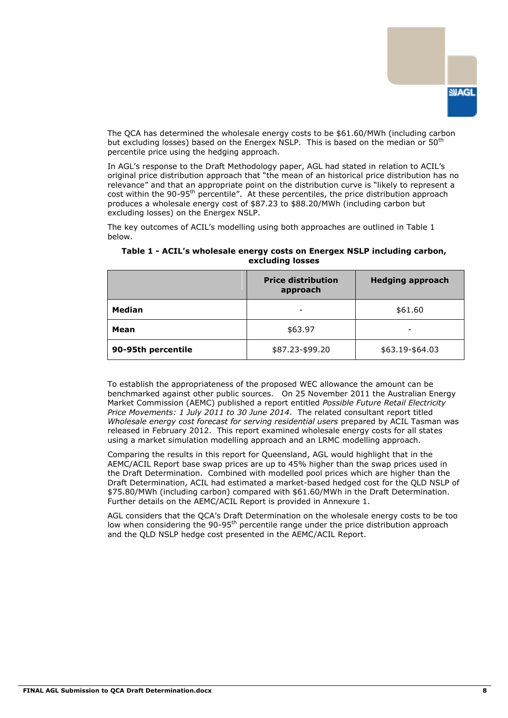

The QCA has determined the wholesale energy costs to be \$61.60/MWh (including carbon but excluding losses) based on the Energex NSLP. This is based on the median or 50<sup>th</sup> percentile price using the hedging approach.

In AGL's response to the Draft Methodology paper, AGL had stated in relation to ACIL's original price distribution approach that "the mean of an historical price distribution has no relevance" and that an appropriate point on the distribution curve is "likely to represent a cost within the 90-95<sup>th</sup> percentile". At these percentiles, the price distribution approach produces a wholesale energy cost of \$87.23 to \$88.20/MWh (including carbon but excluding losses) on the Energex NSLP.

The key outcomes of ACIL's modelling using both approaches are outlined in Table 1 below.

|                    | <b>Price distribution</b><br>approach | <b>Hedging approach</b> |  |  |
|--------------------|---------------------------------------|-------------------------|--|--|
| Median             |                                       | \$61.60                 |  |  |
| Mean               | \$63.97                               | -                       |  |  |
| 90-95th percentile | \$87.23-\$99.20                       | \$63.19-\$64.03         |  |  |

**Table 1 - ACIL's wholesale energy costs on Energex NSLP including carbon, excluding losses**

To establish the appropriateness of the proposed WEC allowance the amount can be benchmarked against other public sources. On 25 November 2011 the Australian Energy Market Commission (AEMC) published a report entitled *Possible Future Retail Electricity Price Movements: 1 July 2011 to 30 June 2014*. The related consultant report titled *Wholesale energy cost forecast for serving residential users* prepared by ACIL Tasman was released in February 2012. This report examined wholesale energy costs for all states using a market simulation modelling approach and an LRMC modelling approach.

Comparing the results in this report for Queensland, AGL would highlight that in the AEMC/ACIL Report base swap prices are up to 45% higher than the swap prices used in the Draft Determination. Combined with modelled pool prices which are higher than the Draft Determination, ACIL had estimated a market-based hedged cost for the QLD NSLP of \$75.80/MWh (including carbon) compared with \$61.60/MWh in the Draft Determination. Further details on the AEMC/ACIL Report is provided in Annexure 1.

AGL considers that the QCA"s Draft Determination on the wholesale energy costs to be too low when considering the 90-95<sup>th</sup> percentile range under the price distribution approach and the QLD NSLP hedge cost presented in the AEMC/ACIL Report.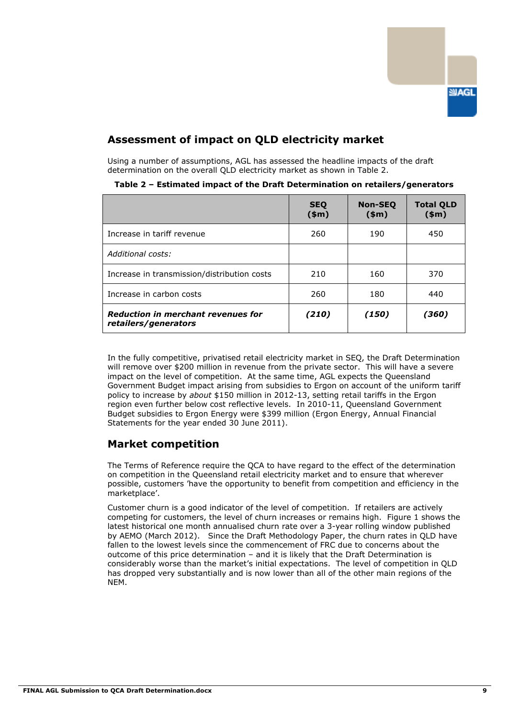

## **Assessment of impact on QLD electricity market**

Using a number of assumptions, AGL has assessed the headline impacts of the draft determination on the overall QLD electricity market as shown in Table 2.

|                                                                   | <b>SEQ</b><br>\$m\$ | <b>Non-SEO</b><br>\$m\$ | <b>Total QLD</b><br>$(\$m)$ |
|-------------------------------------------------------------------|---------------------|-------------------------|-----------------------------|
| Increase in tariff revenue                                        | 260                 | 190                     | 450                         |
| Additional costs:                                                 |                     |                         |                             |
| Increase in transmission/distribution costs                       | 210                 | 160                     | 370                         |
| Increase in carbon costs                                          | 260                 | 180                     | 440                         |
| <b>Reduction in merchant revenues for</b><br>retailers/generators | (210)               | (150)                   | (360)                       |

**Table 2 – Estimated impact of the Draft Determination on retailers/generators**

In the fully competitive, privatised retail electricity market in SEQ, the Draft Determination will remove over \$200 million in revenue from the private sector. This will have a severe impact on the level of competition. At the same time, AGL expects the Queensland Government Budget impact arising from subsidies to Ergon on account of the uniform tariff policy to increase by *about* \$150 million in 2012-13, setting retail tariffs in the Ergon region even further below cost reflective levels. In 2010-11, Queensland Government Budget subsidies to Ergon Energy were \$399 million (Ergon Energy, Annual Financial Statements for the year ended 30 June 2011).

### **Market competition**

The Terms of Reference require the QCA to have regard to the effect of the determination on competition in the Queensland retail electricity market and to ensure that wherever possible, customers "have the opportunity to benefit from competition and efficiency in the marketplace".

Customer churn is a good indicator of the level of competition. If retailers are actively competing for customers, the level of churn increases or remains high. Figure 1 shows the latest historical one month annualised churn rate over a 3-year rolling window published by AEMO (March 2012). Since the Draft Methodology Paper, the churn rates in QLD have fallen to the lowest levels since the commencement of FRC due to concerns about the outcome of this price determination – and it is likely that the Draft Determination is considerably worse than the market"s initial expectations. The level of competition in QLD has dropped very substantially and is now lower than all of the other main regions of the NEM.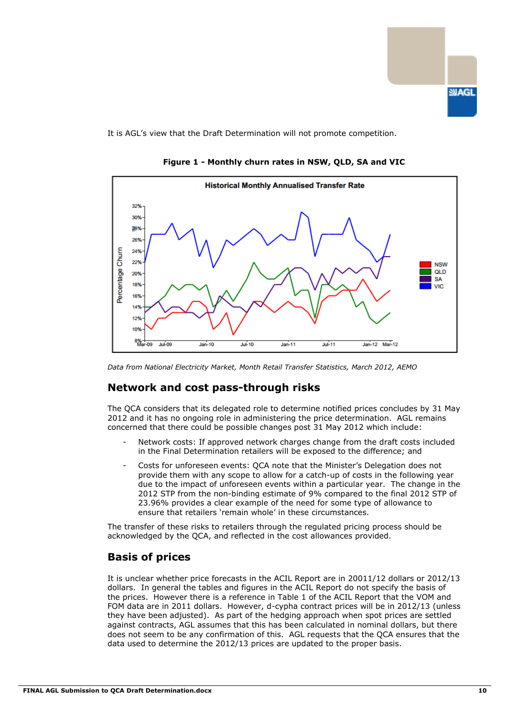

It is AGL's view that the Draft Determination will not promote competition.



**Figure 1 - Monthly churn rates in NSW, QLD, SA and VIC**

### **Network and cost pass-through risks**

The QCA considers that its delegated role to determine notified prices concludes by 31 May 2012 and it has no ongoing role in administering the price determination. AGL remains concerned that there could be possible changes post 31 May 2012 which include:

- Network costs: If approved network charges change from the draft costs included in the Final Determination retailers will be exposed to the difference; and
- Costs for unforeseen events: QCA note that the Minister's Delegation does not provide them with any scope to allow for a catch-up of costs in the following year due to the impact of unforeseen events within a particular year. The change in the 2012 STP from the non-binding estimate of 9% compared to the final 2012 STP of 23.96% provides a clear example of the need for some type of allowance to ensure that retailers "remain whole" in these circumstances.

The transfer of these risks to retailers through the regulated pricing process should be acknowledged by the QCA, and reflected in the cost allowances provided.

## **Basis of prices**

It is unclear whether price forecasts in the ACIL Report are in 20011/12 dollars or 2012/13 dollars. In general the tables and figures in the ACIL Report do not specify the basis of the prices. However there is a reference in Table 1 of the ACIL Report that the VOM and FOM data are in 2011 dollars. However, d-cypha contract prices will be in 2012/13 (unless they have been adjusted). As part of the hedging approach when spot prices are settled against contracts, AGL assumes that this has been calculated in nominal dollars, but there does not seem to be any confirmation of this. AGL requests that the QCA ensures that the data used to determine the 2012/13 prices are updated to the proper basis.

*Data from National Electricity Market, Month Retail Transfer Statistics, March 2012, AEMO*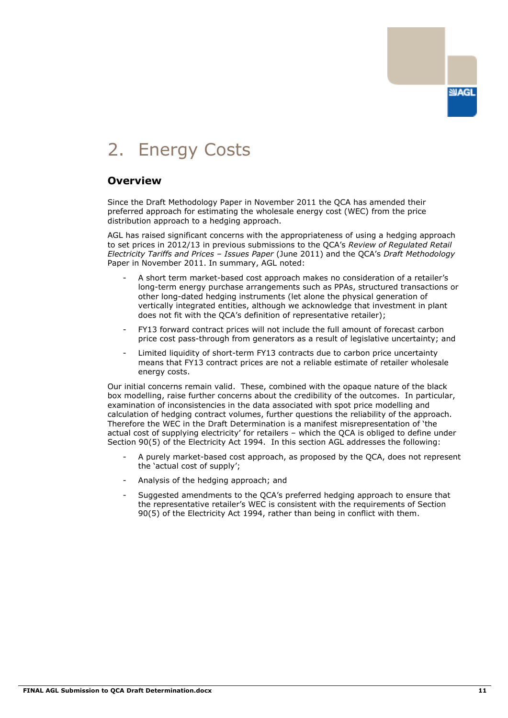

## 2. Energy Costs

### **Overview**

Since the Draft Methodology Paper in November 2011 the QCA has amended their preferred approach for estimating the wholesale energy cost (WEC) from the price distribution approach to a hedging approach.

AGL has raised significant concerns with the appropriateness of using a hedging approach to set prices in 2012/13 in previous submissions to the QCA"s *Review of Regulated Retail Electricity Tariffs and Prices – Issues Paper* (June 2011) and the QCA"s *Draft Methodology*  Paper in November 2011. In summary, AGL noted:

- A short term market-based cost approach makes no consideration of a retailer"s long-term energy purchase arrangements such as PPAs, structured transactions or other long-dated hedging instruments (let alone the physical generation of vertically integrated entities, although we acknowledge that investment in plant does not fit with the QCA"s definition of representative retailer);
- FY13 forward contract prices will not include the full amount of forecast carbon price cost pass-through from generators as a result of legislative uncertainty; and
- Limited liquidity of short-term FY13 contracts due to carbon price uncertainty means that FY13 contract prices are not a reliable estimate of retailer wholesale energy costs.

Our initial concerns remain valid. These, combined with the opaque nature of the black box modelling, raise further concerns about the credibility of the outcomes. In particular, examination of inconsistencies in the data associated with spot price modelling and calculation of hedging contract volumes, further questions the reliability of the approach. Therefore the WEC in the Draft Determination is a manifest misrepresentation of "the actual cost of supplying electricity" for retailers – which the QCA is obliged to define under Section 90(5) of the Electricity Act 1994. In this section AGL addresses the following:

- A purely market-based cost approach, as proposed by the QCA, does not represent the "actual cost of supply";
- Analysis of the hedging approach; and
- Suggested amendments to the QCA"s preferred hedging approach to ensure that the representative retailer"s WEC is consistent with the requirements of Section 90(5) of the Electricity Act 1994, rather than being in conflict with them.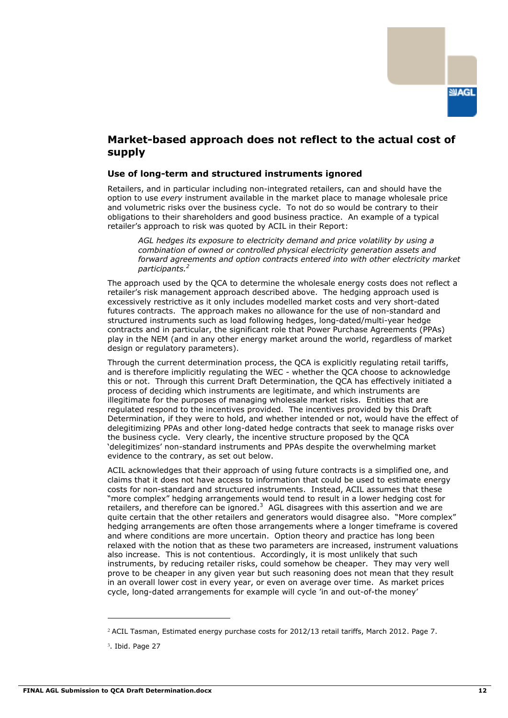

### **Market-based approach does not reflect to the actual cost of supply**

#### **Use of long-term and structured instruments ignored**

Retailers, and in particular including non-integrated retailers, can and should have the option to use *every* instrument available in the market place to manage wholesale price and volumetric risks over the business cycle. To not do so would be contrary to their obligations to their shareholders and good business practice. An example of a typical retailer's approach to risk was quoted by ACIL in their Report:

*AGL hedges its exposure to electricity demand and price volatility by using a combination of owned or controlled physical electricity generation assets and forward agreements and option contracts entered into with other electricity market participants.<sup>2</sup>*

The approach used by the QCA to determine the wholesale energy costs does not reflect a retailer's risk management approach described above. The hedging approach used is excessively restrictive as it only includes modelled market costs and very short-dated futures contracts. The approach makes no allowance for the use of non-standard and structured instruments such as load following hedges, long-dated/multi-year hedge contracts and in particular, the significant role that Power Purchase Agreements (PPAs) play in the NEM (and in any other energy market around the world, regardless of market design or regulatory parameters).

Through the current determination process, the QCA is explicitly regulating retail tariffs, and is therefore implicitly regulating the WEC - whether the QCA choose to acknowledge this or not. Through this current Draft Determination, the QCA has effectively initiated a process of deciding which instruments are legitimate, and which instruments are illegitimate for the purposes of managing wholesale market risks. Entities that are regulated respond to the incentives provided. The incentives provided by this Draft Determination, if they were to hold, and whether intended or not, would have the effect of delegitimizing PPAs and other long-dated hedge contracts that seek to manage risks over the business cycle. Very clearly, the incentive structure proposed by the QCA "delegitimizes" non-standard instruments and PPAs despite the overwhelming market evidence to the contrary, as set out below.

ACIL acknowledges that their approach of using future contracts is a simplified one, and claims that it does not have access to information that could be used to estimate energy costs for non-standard and structured instruments. Instead, ACIL assumes that these "more complex" hedging arrangements would tend to result in a lower hedging cost for retailers, and therefore can be ignored. $3$  AGL disagrees with this assertion and we are quite certain that the other retailers and generators would disagree also. "More complex" hedging arrangements are often those arrangements where a longer timeframe is covered and where conditions are more uncertain. Option theory and practice has long been relaxed with the notion that as these two parameters are increased, instrument valuations also increase. This is not contentious. Accordingly, it is most unlikely that such instruments, by reducing retailer risks, could somehow be cheaper. They may very well prove to be cheaper in any given year but such reasoning does not mean that they result in an overall lower cost in every year, or even on average over time. As market prices cycle, long-dated arrangements for example will cycle "in and out-of-the money"

<sup>2</sup> ACIL Tasman, Estimated energy purchase costs for 2012/13 retail tariffs, March 2012. Page 7.

<sup>&</sup>lt;sup>3</sup>. Ibid. Page 27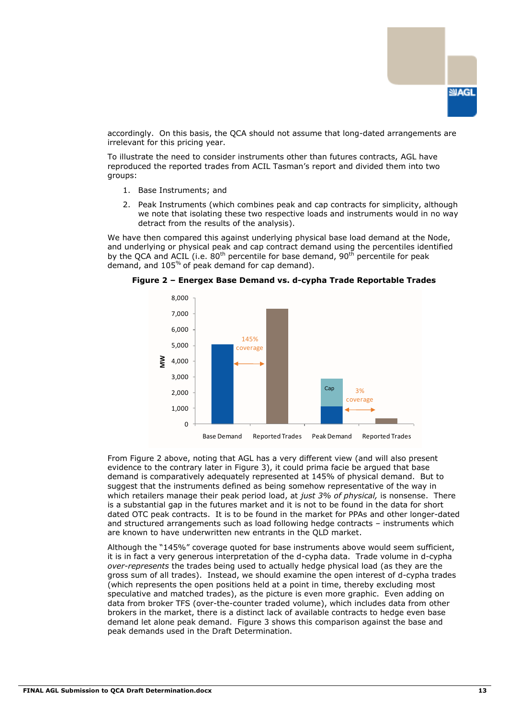

accordingly. On this basis, the QCA should not assume that long-dated arrangements are irrelevant for this pricing year.

To illustrate the need to consider instruments other than futures contracts, AGL have reproduced the reported trades from ACIL Tasman"s report and divided them into two groups:

- 1. Base Instruments; and
- 2. Peak Instruments (which combines peak and cap contracts for simplicity, although we note that isolating these two respective loads and instruments would in no way detract from the results of the analysis).

We have then compared this against underlying physical base load demand at the Node, and underlying or physical peak and cap contract demand using the percentiles identified by the QCA and ACIL (i.e.  $80^{th}$  percentile for base demand,  $90^{th}$  percentile for peak demand, and 105% of peak demand for cap demand).



**Figure 2 – Energex Base Demand vs. d-cypha Trade Reportable Trades**

From Figure 2 above, noting that AGL has a very different view (and will also present evidence to the contrary later in Figure 3), it could prima facie be argued that base demand is comparatively adequately represented at 145% of physical demand. But to suggest that the instruments defined as being somehow representative of the way in which retailers manage their peak period load, at *just 3% of physical,* is nonsense. There is a substantial gap in the futures market and it is not to be found in the data for short dated OTC peak contracts. It is to be found in the market for PPAs and other longer-dated and structured arrangements such as load following hedge contracts – instruments which are known to have underwritten new entrants in the QLD market.

Although the "145%" coverage quoted for base instruments above would seem sufficient, it is in fact a very generous interpretation of the d-cypha data. Trade volume in d-cypha *over-represents* the trades being used to actually hedge physical load (as they are the gross sum of all trades). Instead, we should examine the open interest of d-cypha trades (which represents the open positions held at a point in time, thereby excluding most speculative and matched trades), as the picture is even more graphic. Even adding on data from broker TFS (over-the-counter traded volume), which includes data from other brokers in the market, there is a distinct lack of available contracts to hedge even base demand let alone peak demand. Figure 3 shows this comparison against the base and peak demands used in the Draft Determination.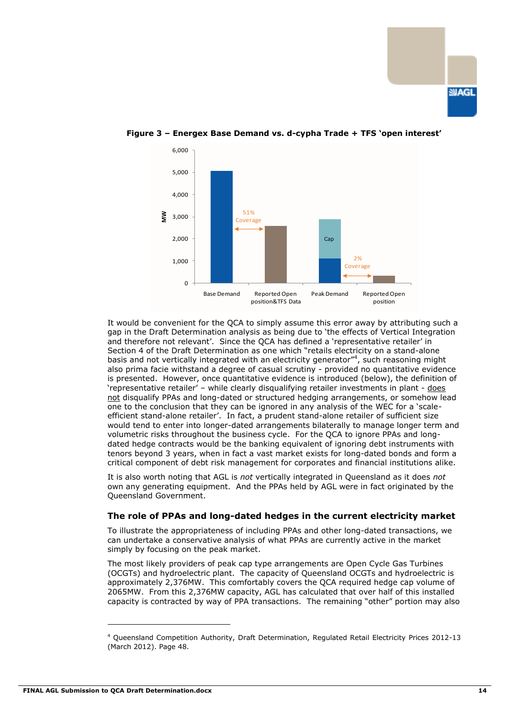



#### **Figure 3 – Energex Base Demand vs. d-cypha Trade + TFS 'open interest'**

It would be convenient for the QCA to simply assume this error away by attributing such a gap in the Draft Determination analysis as being due to "the effects of Vertical Integration and therefore not relevant'. Since the OCA has defined a 'representative retailer' in Section 4 of the Draft Determination as one which "retails electricity on a stand-alone basis and not vertically integrated with an electricity generator"<sup>4</sup>, such reasoning might also prima facie withstand a degree of casual scrutiny - provided no quantitative evidence is presented. However, once quantitative evidence is introduced (below), the definition of "representative retailer" – while clearly disqualifying retailer investments in plant - does not disqualify PPAs and long-dated or structured hedging arrangements, or somehow lead one to the conclusion that they can be ignored in any analysis of the WEC for a "scaleefficient stand-alone retailer". In fact, a prudent stand-alone retailer of sufficient size would tend to enter into longer-dated arrangements bilaterally to manage longer term and volumetric risks throughout the business cycle. For the QCA to ignore PPAs and longdated hedge contracts would be the banking equivalent of ignoring debt instruments with tenors beyond 3 years, when in fact a vast market exists for long-dated bonds and form a critical component of debt risk management for corporates and financial institutions alike.

It is also worth noting that AGL is *not* vertically integrated in Queensland as it does *not*  own any generating equipment. And the PPAs held by AGL were in fact originated by the Queensland Government.

#### **The role of PPAs and long-dated hedges in the current electricity market**

To illustrate the appropriateness of including PPAs and other long-dated transactions, we can undertake a conservative analysis of what PPAs are currently active in the market simply by focusing on the peak market.

The most likely providers of peak cap type arrangements are Open Cycle Gas Turbines (OCGTs) and hydroelectric plant. The capacity of Queensland OCGTs and hydroelectric is approximately 2,376MW. This comfortably covers the QCA required hedge cap volume of 2065MW. From this 2,376MW capacity, AGL has calculated that over half of this installed capacity is contracted by way of PPA transactions. The remaining "other" portion may also

<sup>4</sup> Queensland Competition Authority, Draft Determination, Regulated Retail Electricity Prices 2012-13 (March 2012). Page 48.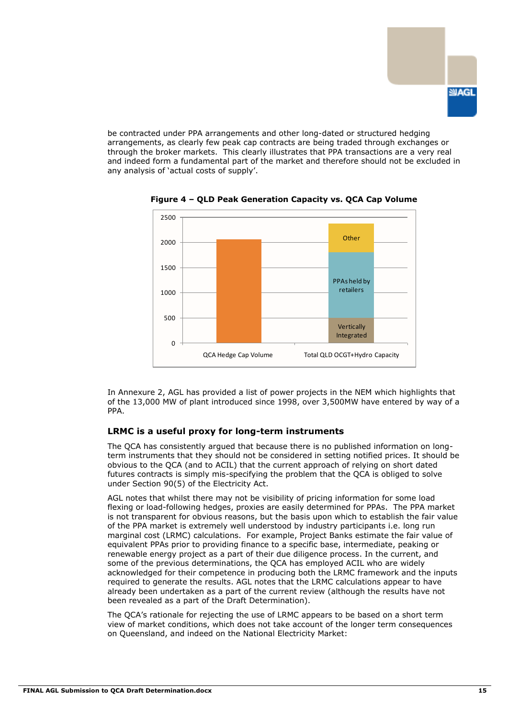

be contracted under PPA arrangements and other long-dated or structured hedging arrangements, as clearly few peak cap contracts are being traded through exchanges or through the broker markets. This clearly illustrates that PPA transactions are a very real and indeed form a fundamental part of the market and therefore should not be excluded in any analysis of "actual costs of supply".



**Figure 4 – QLD Peak Generation Capacity vs. QCA Cap Volume**

In Annexure 2, AGL has provided a list of power projects in the NEM which highlights that of the 13,000 MW of plant introduced since 1998, over 3,500MW have entered by way of a PPA.

#### **LRMC is a useful proxy for long-term instruments**

The QCA has consistently argued that because there is no published information on longterm instruments that they should not be considered in setting notified prices. It should be obvious to the QCA (and to ACIL) that the current approach of relying on short dated futures contracts is simply mis-specifying the problem that the QCA is obliged to solve under Section 90(5) of the Electricity Act.

AGL notes that whilst there may not be visibility of pricing information for some load flexing or load-following hedges, proxies are easily determined for PPAs. The PPA market is not transparent for obvious reasons, but the basis upon which to establish the fair value of the PPA market is extremely well understood by industry participants i.e. long run marginal cost (LRMC) calculations. For example, Project Banks estimate the fair value of equivalent PPAs prior to providing finance to a specific base, intermediate, peaking or renewable energy project as a part of their due diligence process. In the current, and some of the previous determinations, the QCA has employed ACIL who are widely acknowledged for their competence in producing both the LRMC framework and the inputs required to generate the results. AGL notes that the LRMC calculations appear to have already been undertaken as a part of the current review (although the results have not been revealed as a part of the Draft Determination).

The QCA"s rationale for rejecting the use of LRMC appears to be based on a short term view of market conditions, which does not take account of the longer term consequences on Queensland, and indeed on the National Electricity Market: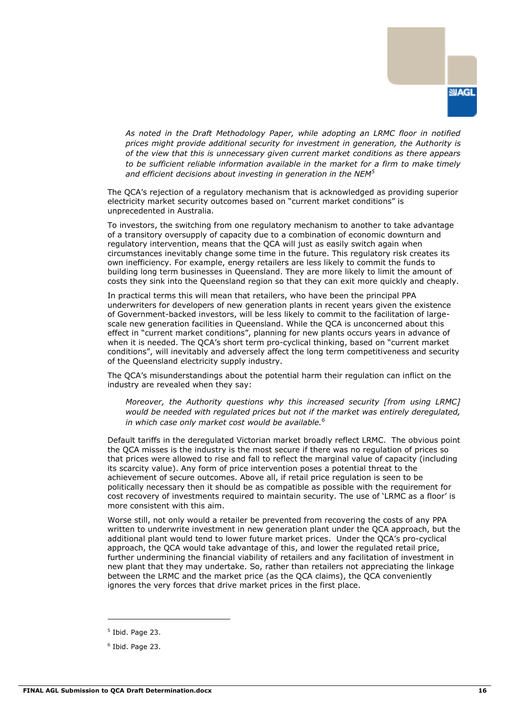

*As noted in the Draft Methodology Paper, while adopting an LRMC floor in notified prices might provide additional security for investment in generation, the Authority is of the view that this is unnecessary given current market conditions as there appears to be sufficient reliable information available in the market for a firm to make timely and efficient decisions about investing in generation in the NEM<sup>5</sup>*

The QCA"s rejection of a regulatory mechanism that is acknowledged as providing superior electricity market security outcomes based on "current market conditions" is unprecedented in Australia.

To investors, the switching from one regulatory mechanism to another to take advantage of a transitory oversupply of capacity due to a combination of economic downturn and regulatory intervention, means that the QCA will just as easily switch again when circumstances inevitably change some time in the future. This regulatory risk creates its own inefficiency. For example, energy retailers are less likely to commit the funds to building long term businesses in Queensland. They are more likely to limit the amount of costs they sink into the Queensland region so that they can exit more quickly and cheaply.

In practical terms this will mean that retailers, who have been the principal PPA underwriters for developers of new generation plants in recent years given the existence of Government-backed investors, will be less likely to commit to the facilitation of largescale new generation facilities in Queensland. While the QCA is unconcerned about this effect in "current market conditions", planning for new plants occurs years in advance of when it is needed. The QCA"s short term pro-cyclical thinking, based on "current market conditions", will inevitably and adversely affect the long term competitiveness and security of the Queensland electricity supply industry.

The QCA"s misunderstandings about the potential harm their regulation can inflict on the industry are revealed when they say:

*Moreover, the Authority questions why this increased security [from using LRMC] would be needed with regulated prices but not if the market was entirely deregulated, in which case only market cost would be available.<sup>6</sup>*

Default tariffs in the deregulated Victorian market broadly reflect LRMC. The obvious point the QCA misses is the industry is the most secure if there was no regulation of prices so that prices were allowed to rise and fall to reflect the marginal value of capacity (including its scarcity value). Any form of price intervention poses a potential threat to the achievement of secure outcomes. Above all, if retail price regulation is seen to be politically necessary then it should be as compatible as possible with the requirement for cost recovery of investments required to maintain security. The use of "LRMC as a floor" is more consistent with this aim.

Worse still, not only would a retailer be prevented from recovering the costs of any PPA written to underwrite investment in new generation plant under the QCA approach, but the additional plant would tend to lower future market prices. Under the QCA"s pro-cyclical approach, the QCA would take advantage of this, and lower the regulated retail price, further undermining the financial viability of retailers and any facilitation of investment in new plant that they may undertake. So, rather than retailers not appreciating the linkage between the LRMC and the market price (as the QCA claims), the QCA conveniently ignores the very forces that drive market prices in the first place.

 $<sup>5</sup>$  Ibid. Page 23.</sup>

<sup>6</sup> Ibid. Page 23.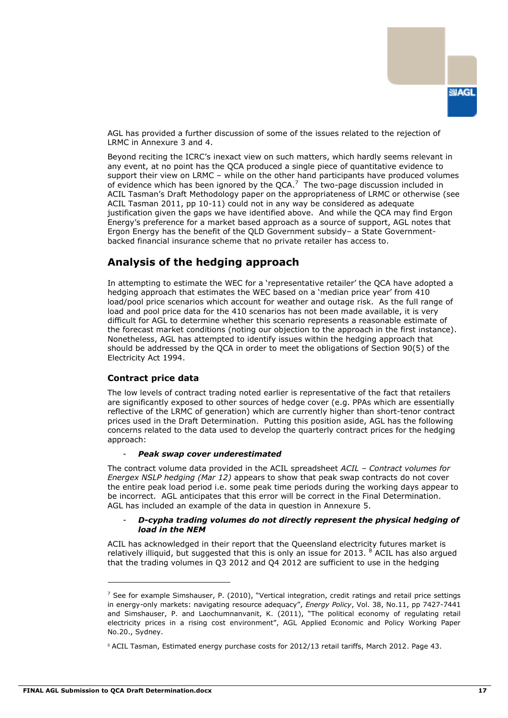

AGL has provided a further discussion of some of the issues related to the rejection of LRMC in Annexure 3 and 4.

Beyond reciting the ICRC"s inexact view on such matters, which hardly seems relevant in any event, at no point has the QCA produced a single piece of quantitative evidence to support their view on LRMC – while on the other hand participants have produced volumes of evidence which has been ignored by the QCA. $^7$  The two-page discussion included in ACIL Tasman"s Draft Methodology paper on the appropriateness of LRMC or otherwise (see ACIL Tasman 2011, pp 10-11) could not in any way be considered as adequate justification given the gaps we have identified above. And while the QCA may find Ergon Energy"s preference for a market based approach as a source of support, AGL notes that Ergon Energy has the benefit of the QLD Government subsidy– a State Governmentbacked financial insurance scheme that no private retailer has access to.

## **Analysis of the hedging approach**

In attempting to estimate the WEC for a "representative retailer" the QCA have adopted a hedging approach that estimates the WEC based on a 'median price year' from 410 load/pool price scenarios which account for weather and outage risk. As the full range of load and pool price data for the 410 scenarios has not been made available, it is very difficult for AGL to determine whether this scenario represents a reasonable estimate of the forecast market conditions (noting our objection to the approach in the first instance). Nonetheless, AGL has attempted to identify issues within the hedging approach that should be addressed by the QCA in order to meet the obligations of Section 90(5) of the Electricity Act 1994.

#### **Contract price data**

The low levels of contract trading noted earlier is representative of the fact that retailers are significantly exposed to other sources of hedge cover (e.g. PPAs which are essentially reflective of the LRMC of generation) which are currently higher than short-tenor contract prices used in the Draft Determination. Putting this position aside, AGL has the following concerns related to the data used to develop the quarterly contract prices for the hedging approach:

#### - *Peak swap cover underestimated*

The contract volume data provided in the ACIL spreadsheet *ACIL – Contract volumes for Energex NSLP hedging (Mar 12)* appears to show that peak swap contracts do not cover the entire peak load period i.e. some peak time periods during the working days appear to be incorrect. AGL anticipates that this error will be correct in the Final Determination. AGL has included an example of the data in question in Annexure 5.

#### - *D-cypha trading volumes do not directly represent the physical hedging of load in the NEM*

ACIL has acknowledged in their report that the Queensland electricity futures market is relatively illiquid, but suggested that this is only an issue for 2013.  $8$  ACIL has also argued that the trading volumes in Q3 2012 and Q4 2012 are sufficient to use in the hedging

 $<sup>7</sup>$  See for example Simshauser, P. (2010), "Vertical integration, credit ratings and retail price settings</sup> in energy-only markets: navigating resource adequacy", *Energy Policy*, Vol. 38, No.11, pp 7427-7441 and Simshauser, P. and Laochumnanvanit, K. (2011), "The political economy of regulating retail electricity prices in a rising cost environment", AGL Applied Economic and Policy Working Paper No.20., Sydney.

<sup>8</sup> ACIL Tasman, Estimated energy purchase costs for 2012/13 retail tariffs, March 2012. Page 43.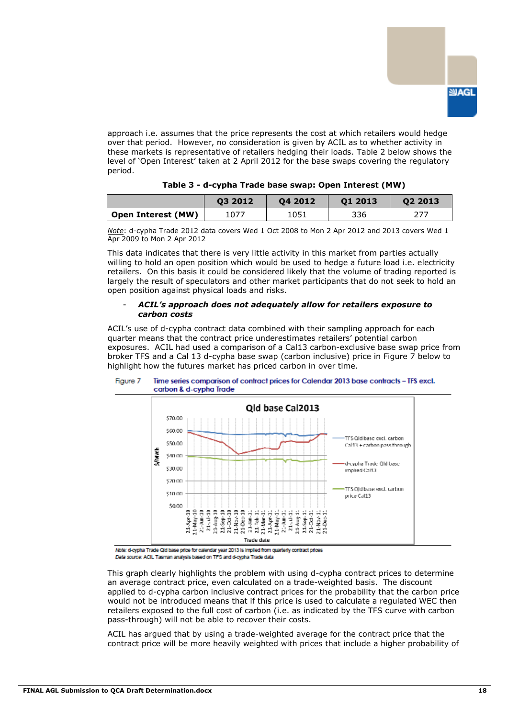

approach i.e. assumes that the price represents the cost at which retailers would hedge over that period. However, no consideration is given by ACIL as to whether activity in these markets is representative of retailers hedging their loads. Table 2 below shows the level of "Open Interest" taken at 2 April 2012 for the base swaps covering the regulatory period.

|                    | 03 2012 | 04 2012 | 01 2013 | 02 2013 |
|--------------------|---------|---------|---------|---------|
|                    |         |         |         |         |
| Open Interest (MW) | 1077    | 1051    | 336     |         |

| Table 3 - d-cypha Trade base swap: Open Interest (MW) |  |  |  |  |  |
|-------------------------------------------------------|--|--|--|--|--|
|-------------------------------------------------------|--|--|--|--|--|

*Note*: d-cypha Trade 2012 data covers Wed 1 Oct 2008 to Mon 2 Apr 2012 and 2013 covers Wed 1 Apr 2009 to Mon 2 Apr 2012

This data indicates that there is very little activity in this market from parties actually willing to hold an open position which would be used to hedge a future load i.e. electricity retailers. On this basis it could be considered likely that the volume of trading reported is largely the result of speculators and other market participants that do not seek to hold an open position against physical loads and risks.

#### - *ACIL's approach does not adequately allow for retailers exposure to carbon costs*

ACIL"s use of d-cypha contract data combined with their sampling approach for each quarter means that the contract price underestimates retailers" potential carbon exposures. ACIL had used a comparison of a Cal13 carbon-exclusive base swap price from broker TFS and a Cal 13 d-cypha base swap (carbon inclusive) price in Figure 7 below to highlight how the futures market has priced carbon in over time.



#### Figure 7 Time series comparison of contract prices for Calendar 2013 base contracts - TFS excl. carbon & d-cypha Trade

Note: d-cypha Trade Qid base price for calendar year 2013 is implied from quarterly contract prices Data source: ACIL Tasman analysis based on TFS and d-cypha Trade data

This graph clearly highlights the problem with using d-cypha contract prices to determine an average contract price, even calculated on a trade-weighted basis. The discount applied to d-cypha carbon inclusive contract prices for the probability that the carbon price would not be introduced means that if this price is used to calculate a regulated WEC then retailers exposed to the full cost of carbon (i.e. as indicated by the TFS curve with carbon pass-through) will not be able to recover their costs.

ACIL has argued that by using a trade-weighted average for the contract price that the contract price will be more heavily weighted with prices that include a higher probability of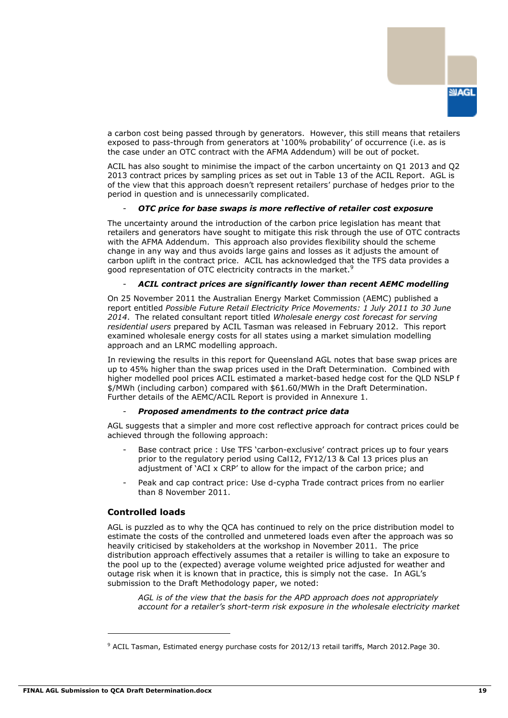

a carbon cost being passed through by generators. However, this still means that retailers exposed to pass-through from generators at "100% probability" of occurrence (i.e. as is the case under an OTC contract with the AFMA Addendum) will be out of pocket.

ACIL has also sought to minimise the impact of the carbon uncertainty on Q1 2013 and Q2 2013 contract prices by sampling prices as set out in Table 13 of the ACIL Report. AGL is of the view that this approach doesn"t represent retailers" purchase of hedges prior to the period in question and is unnecessarily complicated.

#### - *OTC price for base swaps is more reflective of retailer cost exposure*

The uncertainty around the introduction of the carbon price legislation has meant that retailers and generators have sought to mitigate this risk through the use of OTC contracts with the AFMA Addendum. This approach also provides flexibility should the scheme change in any way and thus avoids large gains and losses as it adjusts the amount of carbon uplift in the contract price. ACIL has acknowledged that the TFS data provides a good representation of OTC electricity contracts in the market.<sup>9</sup>

#### - *ACIL contract prices are significantly lower than recent AEMC modelling*

On 25 November 2011 the Australian Energy Market Commission (AEMC) published a report entitled *Possible Future Retail Electricity Price Movements: 1 July 2011 to 30 June 2014*. The related consultant report titled *Wholesale energy cost forecast for serving residential users* prepared by ACIL Tasman was released in February 2012. This report examined wholesale energy costs for all states using a market simulation modelling approach and an LRMC modelling approach.

In reviewing the results in this report for Queensland AGL notes that base swap prices are up to 45% higher than the swap prices used in the Draft Determination. Combined with higher modelled pool prices ACIL estimated a market-based hedge cost for the QLD NSLP f \$/MWh (including carbon) compared with \$61.60/MWh in the Draft Determination. Further details of the AEMC/ACIL Report is provided in Annexure 1.

#### - *Proposed amendments to the contract price data*

AGL suggests that a simpler and more cost reflective approach for contract prices could be achieved through the following approach:

- Base contract price : Use TFS 'carbon-exclusive' contract prices up to four years prior to the regulatory period using Cal12, FY12/13 & Cal 13 prices plus an adjustment of "ACI x CRP" to allow for the impact of the carbon price; and
- Peak and cap contract price: Use d-cypha Trade contract prices from no earlier than 8 November 2011.

#### **Controlled loads**

AGL is puzzled as to why the QCA has continued to rely on the price distribution model to estimate the costs of the controlled and unmetered loads even after the approach was so heavily criticised by stakeholders at the workshop in November 2011. The price distribution approach effectively assumes that a retailer is willing to take an exposure to the pool up to the (expected) average volume weighted price adjusted for weather and outage risk when it is known that in practice, this is simply not the case. In AGL"s submission to the Draft Methodology paper, we noted:

*AGL is of the view that the basis for the APD approach does not appropriately account for a retailer's short-term risk exposure in the wholesale electricity market* 

<sup>9</sup> ACIL Tasman, Estimated energy purchase costs for 2012/13 retail tariffs, March 2012.Page 30.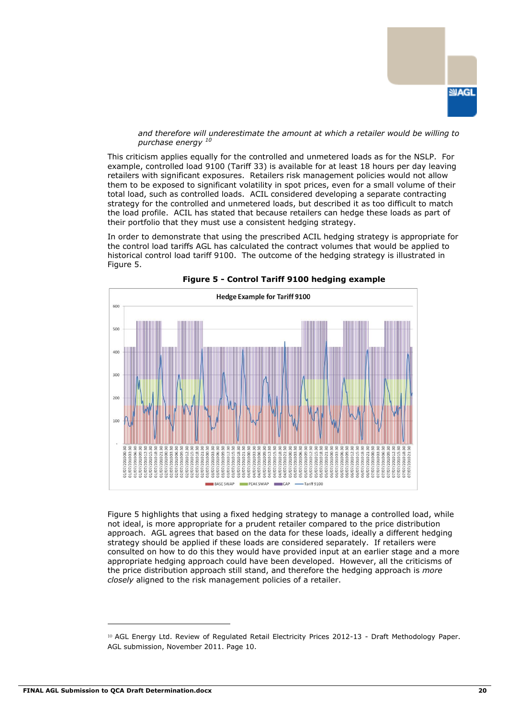

*and therefore will underestimate the amount at which a retailer would be willing to purchase energy <sup>10</sup>*

This criticism applies equally for the controlled and unmetered loads as for the NSLP. For example, controlled load 9100 (Tariff 33) is available for at least 18 hours per day leaving retailers with significant exposures. Retailers risk management policies would not allow them to be exposed to significant volatility in spot prices, even for a small volume of their total load, such as controlled loads. ACIL considered developing a separate contracting strategy for the controlled and unmetered loads, but described it as too difficult to match the load profile. ACIL has stated that because retailers can hedge these loads as part of their portfolio that they must use a consistent hedging strategy.

In order to demonstrate that using the prescribed ACIL hedging strategy is appropriate for the control load tariffs AGL has calculated the contract volumes that would be applied to historical control load tariff 9100. The outcome of the hedging strategy is illustrated in Figure 5.





Figure 5 highlights that using a fixed hedging strategy to manage a controlled load, while not ideal, is more appropriate for a prudent retailer compared to the price distribution approach. AGL agrees that based on the data for these loads, ideally a different hedging strategy should be applied if these loads are considered separately. If retailers were consulted on how to do this they would have provided input at an earlier stage and a more appropriate hedging approach could have been developed. However, all the criticisms of the price distribution approach still stand, and therefore the hedging approach is *more closely* aligned to the risk management policies of a retailer.

<sup>10</sup> AGL Energy Ltd. Review of Regulated Retail Electricity Prices 2012-13 - Draft Methodology Paper. AGL submission, November 2011. Page 10.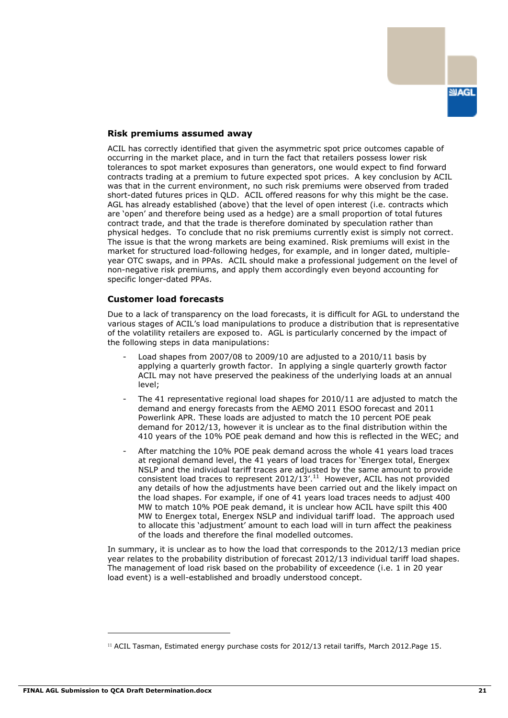

#### **Risk premiums assumed away**

ACIL has correctly identified that given the asymmetric spot price outcomes capable of occurring in the market place, and in turn the fact that retailers possess lower risk tolerances to spot market exposures than generators, one would expect to find forward contracts trading at a premium to future expected spot prices. A key conclusion by ACIL was that in the current environment, no such risk premiums were observed from traded short-dated futures prices in QLD. ACIL offered reasons for why this might be the case. AGL has already established (above) that the level of open interest (i.e. contracts which are "open" and therefore being used as a hedge) are a small proportion of total futures contract trade, and that the trade is therefore dominated by speculation rather than physical hedges. To conclude that no risk premiums currently exist is simply not correct. The issue is that the wrong markets are being examined. Risk premiums will exist in the market for structured load-following hedges, for example, and in longer dated, multipleyear OTC swaps, and in PPAs. ACIL should make a professional judgement on the level of non-negative risk premiums, and apply them accordingly even beyond accounting for specific longer-dated PPAs.

#### **Customer load forecasts**

Due to a lack of transparency on the load forecasts, it is difficult for AGL to understand the various stages of ACIL"s load manipulations to produce a distribution that is representative of the volatility retailers are exposed to. AGL is particularly concerned by the impact of the following steps in data manipulations:

- Load shapes from 2007/08 to 2009/10 are adjusted to a 2010/11 basis by applying a quarterly growth factor. In applying a single quarterly growth factor ACIL may not have preserved the peakiness of the underlying loads at an annual level;
- The 41 representative regional load shapes for  $2010/11$  are adjusted to match the demand and energy forecasts from the AEMO 2011 ESOO forecast and 2011 Powerlink APR. These loads are adjusted to match the 10 percent POE peak demand for 2012/13, however it is unclear as to the final distribution within the 410 years of the 10% POE peak demand and how this is reflected in the WEC; and
- After matching the 10% POE peak demand across the whole 41 years load traces at regional demand level, the 41 years of load traces for "Energex total, Energex NSLP and the individual tariff traces are adjusted by the same amount to provide consistent load traces to represent  $2012/13'$ .<sup>11</sup> However, ACIL has not provided any details of how the adjustments have been carried out and the likely impact on the load shapes. For example, if one of 41 years load traces needs to adjust 400 MW to match 10% POE peak demand, it is unclear how ACIL have spilt this 400 MW to Energex total, Energex NSLP and individual tariff load. The approach used to allocate this "adjustment" amount to each load will in turn affect the peakiness of the loads and therefore the final modelled outcomes.

In summary, it is unclear as to how the load that corresponds to the 2012/13 median price year relates to the probability distribution of forecast 2012/13 individual tariff load shapes. The management of load risk based on the probability of exceedence (i.e. 1 in 20 year load event) is a well-established and broadly understood concept.

<sup>11</sup> ACIL Tasman, Estimated energy purchase costs for 2012/13 retail tariffs, March 2012.Page 15.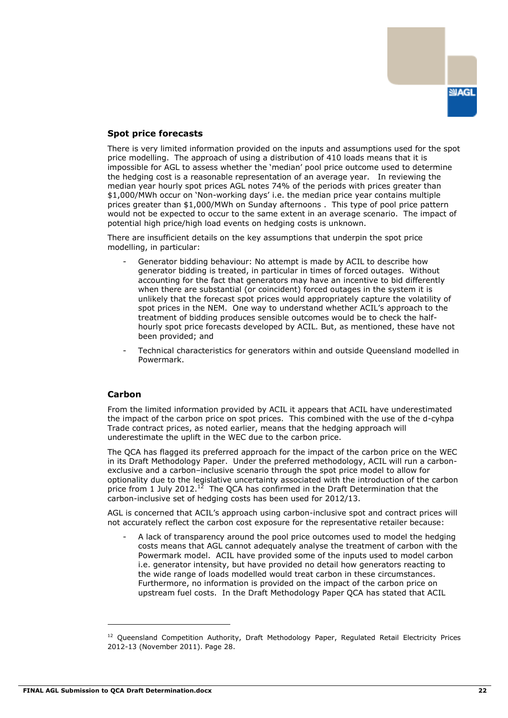

### **Spot price forecasts**

There is very limited information provided on the inputs and assumptions used for the spot price modelling. The approach of using a distribution of 410 loads means that it is impossible for AGL to assess whether the "median" pool price outcome used to determine the hedging cost is a reasonable representation of an average year. In reviewing the median year hourly spot prices AGL notes 74% of the periods with prices greater than \$1,000/MWh occur on 'Non-working days' i.e. the median price year contains multiple prices greater than \$1,000/MWh on Sunday afternoons . This type of pool price pattern would not be expected to occur to the same extent in an average scenario. The impact of potential high price/high load events on hedging costs is unknown.

There are insufficient details on the key assumptions that underpin the spot price modelling, in particular:

- Generator bidding behaviour: No attempt is made by ACIL to describe how generator bidding is treated, in particular in times of forced outages. Without accounting for the fact that generators may have an incentive to bid differently when there are substantial (or coincident) forced outages in the system it is unlikely that the forecast spot prices would appropriately capture the volatility of spot prices in the NEM. One way to understand whether ACIL's approach to the treatment of bidding produces sensible outcomes would be to check the halfhourly spot price forecasts developed by ACIL. But, as mentioned, these have not been provided; and
- Technical characteristics for generators within and outside Queensland modelled in Powermark.

#### **Carbon**

From the limited information provided by ACIL it appears that ACIL have underestimated the impact of the carbon price on spot prices. This combined with the use of the d-cyhpa Trade contract prices, as noted earlier, means that the hedging approach will underestimate the uplift in the WEC due to the carbon price.

The QCA has flagged its preferred approach for the impact of the carbon price on the WEC in its Draft Methodology Paper. Under the preferred methodology, ACIL will run a carbonexclusive and a carbon–inclusive scenario through the spot price model to allow for optionality due to the legislative uncertainty associated with the introduction of the carbon price from 1 July 2012.<sup>12</sup> The QCA has confirmed in the Draft Determination that the carbon-inclusive set of hedging costs has been used for 2012/13.

AGL is concerned that ACIL"s approach using carbon-inclusive spot and contract prices will not accurately reflect the carbon cost exposure for the representative retailer because:

- A lack of transparency around the pool price outcomes used to model the hedging costs means that AGL cannot adequately analyse the treatment of carbon with the Powermark model. ACIL have provided some of the inputs used to model carbon i.e. generator intensity, but have provided no detail how generators reacting to the wide range of loads modelled would treat carbon in these circumstances. Furthermore, no information is provided on the impact of the carbon price on upstream fuel costs. In the Draft Methodology Paper QCA has stated that ACIL

<sup>&</sup>lt;sup>12</sup> Queensland Competition Authority, Draft Methodology Paper, Regulated Retail Electricity Prices 2012-13 (November 2011). Page 28.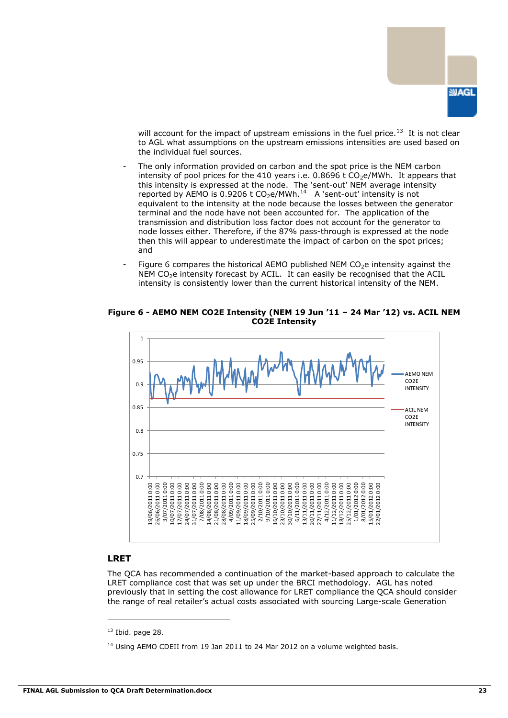

will account for the impact of upstream emissions in the fuel price. $^{13}$  It is not clear to AGL what assumptions on the upstream emissions intensities are used based on the individual fuel sources.

- The only information provided on carbon and the spot price is the NEM carbon intensity of pool prices for the 410 years i.e.  $0.8696$  t  $CO<sub>2</sub>e/MWh$ . It appears that this intensity is expressed at the node. The "sent-out" NEM average intensity reported by AEMO is 0.9206 t  $CO<sub>2</sub>e/MWh.<sup>14</sup>$  A 'sent-out' intensity is not equivalent to the intensity at the node because the losses between the generator terminal and the node have not been accounted for. The application of the transmission and distribution loss factor does not account for the generator to node losses either. Therefore, if the 87% pass-through is expressed at the node then this will appear to underestimate the impact of carbon on the spot prices; and
- Figure 6 compares the historical AEMO published NEM  $CO<sub>2</sub>e$  intensity against the  $NEM CO<sub>2</sub>e$  intensity forecast by ACIL. It can easily be recognised that the ACIL intensity is consistently lower than the current historical intensity of the NEM.

**Figure 6 - AEMO NEM CO2E Intensity (NEM 19 Jun '11 – 24 Mar '12) vs. ACIL NEM CO2E Intensity**



#### **LRET**

-

The QCA has recommended a continuation of the market-based approach to calculate the LRET compliance cost that was set up under the BRCI methodology. AGL has noted previously that in setting the cost allowance for LRET compliance the QCA should consider the range of real retailer"s actual costs associated with sourcing Large-scale Generation

 $13$  Ibid. page 28.

 $14$  Using AEMO CDEII from 19 Jan 2011 to 24 Mar 2012 on a volume weighted basis.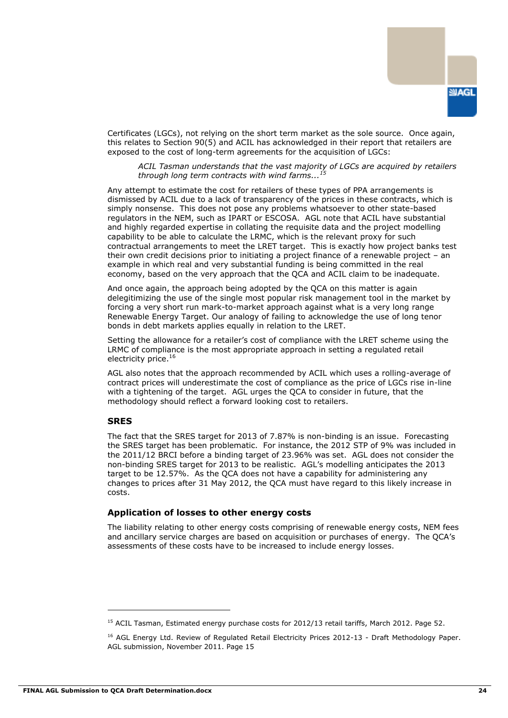

Certificates (LGCs), not relying on the short term market as the sole source. Once again, this relates to Section 90(5) and ACIL has acknowledged in their report that retailers are exposed to the cost of long-term agreements for the acquisition of LGCs:

*ACIL Tasman understands that the vast majority of LGCs are acquired by retailers through long term contracts with wind farms... 15*

Any attempt to estimate the cost for retailers of these types of PPA arrangements is dismissed by ACIL due to a lack of transparency of the prices in these contracts, which is simply nonsense. This does not pose any problems whatsoever to other state-based regulators in the NEM, such as IPART or ESCOSA. AGL note that ACIL have substantial and highly regarded expertise in collating the requisite data and the project modelling capability to be able to calculate the LRMC, which is the relevant proxy for such contractual arrangements to meet the LRET target. This is exactly how project banks test their own credit decisions prior to initiating a project finance of a renewable project – an example in which real and very substantial funding is being committed in the real economy, based on the very approach that the QCA and ACIL claim to be inadequate.

And once again, the approach being adopted by the QCA on this matter is again delegitimizing the use of the single most popular risk management tool in the market by forcing a very short run mark-to-market approach against what is a very long range Renewable Energy Target. Our analogy of failing to acknowledge the use of long tenor bonds in debt markets applies equally in relation to the LRET.

Setting the allowance for a retailer"s cost of compliance with the LRET scheme using the LRMC of compliance is the most appropriate approach in setting a regulated retail electricity price.<sup>16</sup>

AGL also notes that the approach recommended by ACIL which uses a rolling-average of contract prices will underestimate the cost of compliance as the price of LGCs rise in-line with a tightening of the target. AGL urges the QCA to consider in future, that the methodology should reflect a forward looking cost to retailers.

#### **SRES**

The fact that the SRES target for 2013 of 7.87% is non-binding is an issue. Forecasting the SRES target has been problematic. For instance, the 2012 STP of 9% was included in the 2011/12 BRCI before a binding target of 23.96% was set. AGL does not consider the non-binding SRES target for 2013 to be realistic. AGL"s modelling anticipates the 2013 target to be 12.57%. As the QCA does not have a capability for administering any changes to prices after 31 May 2012, the QCA must have regard to this likely increase in costs.

#### **Application of losses to other energy costs**

The liability relating to other energy costs comprising of renewable energy costs, NEM fees and ancillary service charges are based on acquisition or purchases of energy. The QCA"s assessments of these costs have to be increased to include energy losses.

<sup>&</sup>lt;sup>15</sup> ACIL Tasman, Estimated energy purchase costs for 2012/13 retail tariffs, March 2012. Page 52.

<sup>&</sup>lt;sup>16</sup> AGL Energy Ltd. Review of Regulated Retail Electricity Prices 2012-13 - Draft Methodology Paper. AGL submission, November 2011. Page 15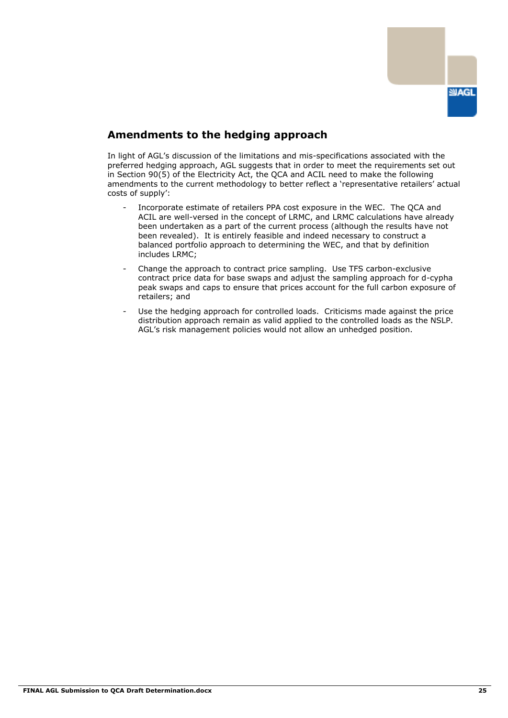

## **Amendments to the hedging approach**

In light of AGL"s discussion of the limitations and mis-specifications associated with the preferred hedging approach, AGL suggests that in order to meet the requirements set out in Section 90(5) of the Electricity Act, the QCA and ACIL need to make the following amendments to the current methodology to better reflect a "representative retailers" actual costs of supply":

- Incorporate estimate of retailers PPA cost exposure in the WEC. The QCA and ACIL are well-versed in the concept of LRMC, and LRMC calculations have already been undertaken as a part of the current process (although the results have not been revealed). It is entirely feasible and indeed necessary to construct a balanced portfolio approach to determining the WEC, and that by definition includes LRMC;
- Change the approach to contract price sampling. Use TFS carbon-exclusive contract price data for base swaps and adjust the sampling approach for d-cypha peak swaps and caps to ensure that prices account for the full carbon exposure of retailers; and
- Use the hedging approach for controlled loads. Criticisms made against the price distribution approach remain as valid applied to the controlled loads as the NSLP. AGL"s risk management policies would not allow an unhedged position.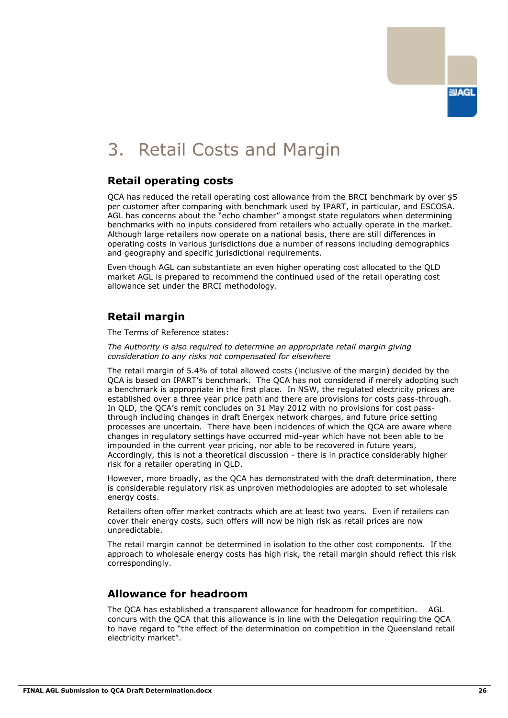

# 3. Retail Costs and Margin

### **Retail operating costs**

QCA has reduced the retail operating cost allowance from the BRCI benchmark by over \$5 per customer after comparing with benchmark used by IPART, in particular, and ESCOSA. AGL has concerns about the "echo chamber" amongst state regulators when determining benchmarks with no inputs considered from retailers who actually operate in the market. Although large retailers now operate on a national basis, there are still differences in operating costs in various jurisdictions due a number of reasons including demographics and geography and specific jurisdictional requirements.

Even though AGL can substantiate an even higher operating cost allocated to the QLD market AGL is prepared to recommend the continued used of the retail operating cost allowance set under the BRCI methodology.

## **Retail margin**

The Terms of Reference states:

*The Authority is also required to determine an appropriate retail margin giving consideration to any risks not compensated for elsewhere*

The retail margin of 5.4% of total allowed costs (inclusive of the margin) decided by the QCA is based on IPART"s benchmark. The QCA has not considered if merely adopting such a benchmark is appropriate in the first place. In NSW, the regulated electricity prices are established over a three year price path and there are provisions for costs pass-through. In QLD, the QCA"s remit concludes on 31 May 2012 with no provisions for cost passthrough including changes in draft Energex network charges, and future price setting processes are uncertain. There have been incidences of which the QCA are aware where changes in regulatory settings have occurred mid-year which have not been able to be impounded in the current year pricing, nor able to be recovered in future years, Accordingly, this is not a theoretical discussion - there is in practice considerably higher risk for a retailer operating in QLD.

However, more broadly, as the QCA has demonstrated with the draft determination, there is considerable regulatory risk as unproven methodologies are adopted to set wholesale energy costs.

Retailers often offer market contracts which are at least two years. Even if retailers can cover their energy costs, such offers will now be high risk as retail prices are now unpredictable.

The retail margin cannot be determined in isolation to the other cost components. If the approach to wholesale energy costs has high risk, the retail margin should reflect this risk correspondingly.

## **Allowance for headroom**

The QCA has established a transparent allowance for headroom for competition. AGL concurs with the QCA that this allowance is in line with the Delegation requiring the QCA to have regard to "the effect of the determination on competition in the Queensland retail electricity market".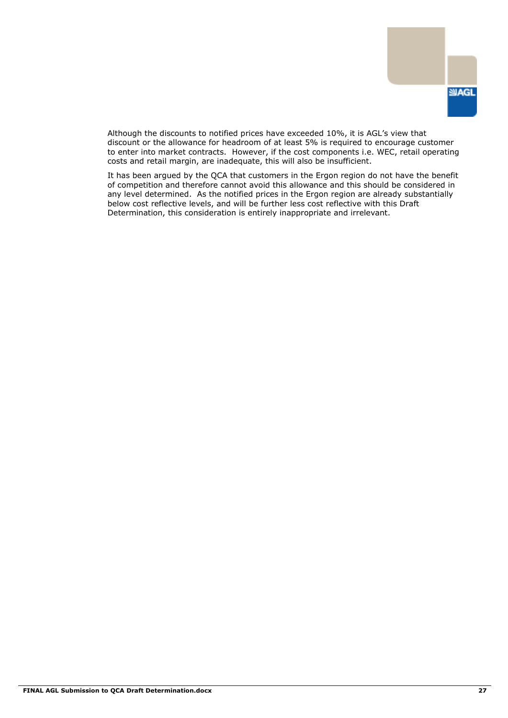

Although the discounts to notified prices have exceeded 10%, it is AGL"s view that discount or the allowance for headroom of at least 5% is required to encourage customer to enter into market contracts. However, if the cost components i.e. WEC, retail operating costs and retail margin, are inadequate, this will also be insufficient.

It has been argued by the QCA that customers in the Ergon region do not have the benefit of competition and therefore cannot avoid this allowance and this should be considered in any level determined. As the notified prices in the Ergon region are already substantially below cost reflective levels, and will be further less cost reflective with this Draft Determination, this consideration is entirely inappropriate and irrelevant.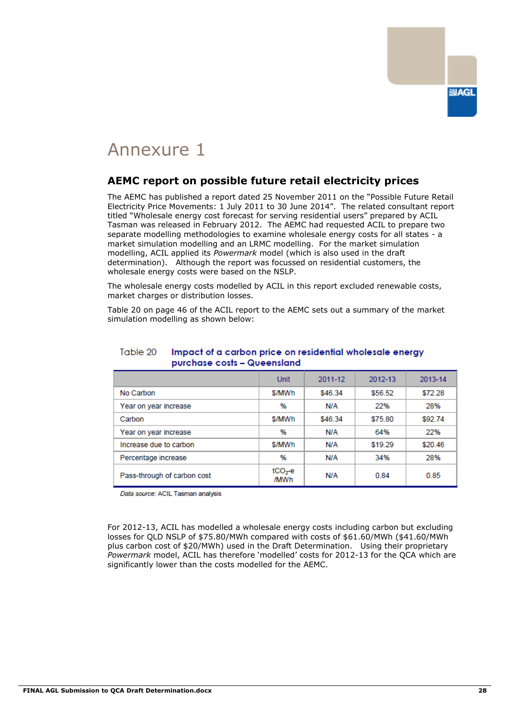

## **AEMC report on possible future retail electricity prices**

The AEMC has published a report dated 25 November 2011 on the "Possible Future Retail Electricity Price Movements: 1 July 2011 to 30 June 2014". The related consultant report titled "Wholesale energy cost forecast for serving residential users" prepared by ACIL Tasman was released in February 2012. The AEMC had requested ACIL to prepare two separate modelling methodologies to examine wholesale energy costs for all states - a market simulation modelling and an LRMC modelling. For the market simulation modelling, ACIL applied its *Powermark* model (which is also used in the draft determination). Although the report was focussed on residential customers, the wholesale energy costs were based on the NSLP.

The wholesale energy costs modelled by ACIL in this report excluded renewable costs, market charges or distribution losses.

Table 20 on page 46 of the ACIL report to the AEMC sets out a summary of the market simulation modelling as shown below:

|                             | <b>Unit</b>       | 2011-12 | 2012-13 | 2013-14 |
|-----------------------------|-------------------|---------|---------|---------|
| No Carbon                   | \$/MWh            | \$46.34 | \$56.52 | \$72.28 |
| Year on year increase       | %                 | N/A     | 22%     | 28%     |
| Carbon                      | \$/MWh            | \$46.34 | \$75.80 | \$92.74 |
| Year on year increase       | %                 | N/A     | 64%     | 22%     |
| Increase due to carbon      | \$/MWh            | N/A     | \$19.29 | \$20.46 |
| Percentage increase         | %                 | N/A     | 34%     | 28%     |
| Pass-through of carbon cost | $tCO2$ -e<br>/MWh | N/A     | 0.84    | 0.85    |

#### Table 20 Impact of a carbon price on residential wholesale energy purchase costs - Queensland

Data source: ACIL Tasman analysis

For 2012-13, ACIL has modelled a wholesale energy costs including carbon but excluding losses for QLD NSLP of \$75.80/MWh compared with costs of \$61.60/MWh (\$41.60/MWh plus carbon cost of \$20/MWh) used in the Draft Determination. Using their proprietary *Powermark* model, ACIL has therefore "modelled" costs for 2012-13 for the QCA which are significantly lower than the costs modelled for the AEMC.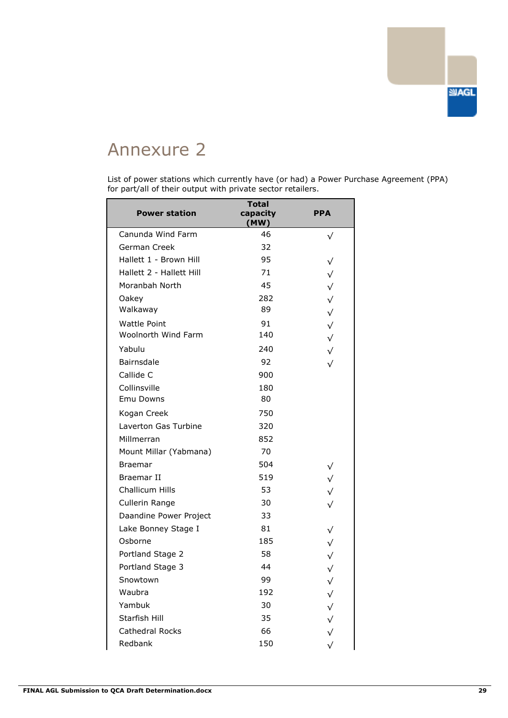

List of power stations which currently have (or had) a Power Purchase Agreement (PPA) for part/all of their output with private sector retailers.

| <b>Power station</b>     | <b>Total</b><br>capacity<br>(MW) | <b>PPA</b>   |
|--------------------------|----------------------------------|--------------|
| Canunda Wind Farm        | 46                               | $\sqrt{}$    |
| German Creek             | 32                               |              |
| Hallett 1 - Brown Hill   | 95                               | √            |
| Hallett 2 - Hallett Hill | 71                               | $\sqrt{}$    |
| Moranbah North           | 45                               | $\sqrt{}$    |
| Oakey                    | 282                              | $\sqrt{}$    |
| Walkaway                 | 89                               | $\sqrt{}$    |
| <b>Wattle Point</b>      | 91                               | $\sqrt{}$    |
| Woolnorth Wind Farm      | 140                              | $\sqrt{}$    |
| Yabulu                   | 240                              | $\sqrt{}$    |
| <b>Bairnsdale</b>        | 92                               | $\sqrt{}$    |
| Callide C                | 900                              |              |
| Collinsville             | 180                              |              |
| Emu Downs                | 80                               |              |
| Kogan Creek              | 750                              |              |
| Laverton Gas Turbine     | 320                              |              |
| Millmerran               | 852                              |              |
| Mount Millar (Yabmana)   | 70                               |              |
| Braemar                  | 504                              | $\sqrt{}$    |
| Braemar II               | 519                              | $\sqrt{}$    |
| Challicum Hills          | 53                               | $\sqrt{}$    |
| Cullerin Range           | 30                               | $\sqrt{}$    |
| Daandine Power Project   | 33                               |              |
| Lake Bonney Stage I      | 81                               | $\sqrt{}$    |
| Osborne                  | 185                              | $\sqrt{}$    |
| Portland Stage 2         | 58                               | $\checkmark$ |
| Portland Stage 3         | 44                               | $\sqrt{}$    |
| Snowtown                 | 99                               | $\sqrt{ }$   |
| Waubra                   | 192                              | ✓            |
| Yambuk                   | 30                               | $\sqrt{}$    |
| Starfish Hill            | 35                               | $\sqrt{}$    |
| <b>Cathedral Rocks</b>   | 66                               | $\checkmark$ |
| Redbank                  | 150                              | $\sqrt{}$    |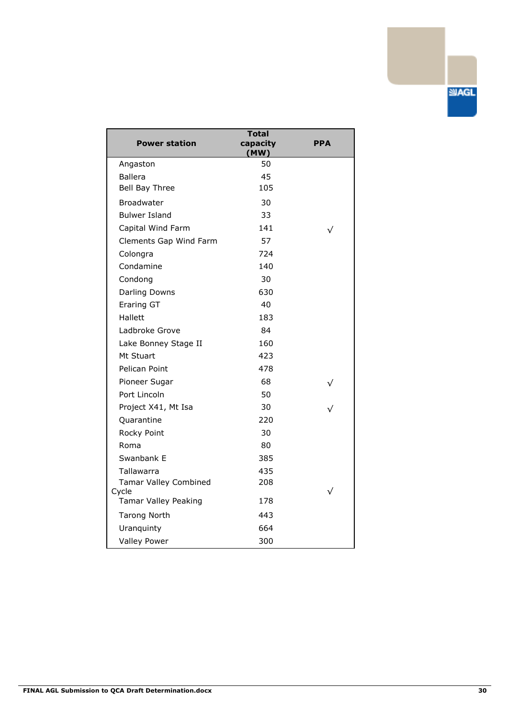| <b>Power station</b>          | <b>Total</b><br>capacity<br>(MW) | PPA       |
|-------------------------------|----------------------------------|-----------|
| Angaston                      | 50                               |           |
| <b>Ballera</b>                | 45                               |           |
| Bell Bay Three                | 105                              |           |
| Broadwater                    | 30                               |           |
| <b>Bulwer Island</b>          | 33                               |           |
| Capital Wind Farm             | 141                              | √         |
| Clements Gap Wind Farm        | 57                               |           |
| Colongra                      | 724                              |           |
| Condamine                     | 140                              |           |
| Condong                       | 30                               |           |
| Darling Downs                 | 630                              |           |
| Eraring GT                    | 40                               |           |
| Hallett                       | 183                              |           |
| Ladbroke Grove                | 84                               |           |
| Lake Bonney Stage II          | 160                              |           |
| Mt Stuart                     | 423                              |           |
| Pelican Point                 | 478                              |           |
| Pioneer Sugar                 | 68                               |           |
| Port Lincoln                  | 50                               |           |
| Project X41, Mt Isa           | 30                               |           |
| Quarantine                    | 220                              |           |
| Rocky Point                   | 30                               |           |
| Roma                          | 80                               |           |
| Swanbank E                    | 385                              |           |
| Tallawarra                    | 435                              |           |
| <b>Tamar Valley Combined</b>  | 208                              |           |
| Cycle<br>Tamar Valley Peaking | 178                              | $\sqrt{}$ |
| <b>Tarong North</b>           | 443                              |           |
| Uranquinty                    | 664                              |           |
| <b>Valley Power</b>           | 300                              |           |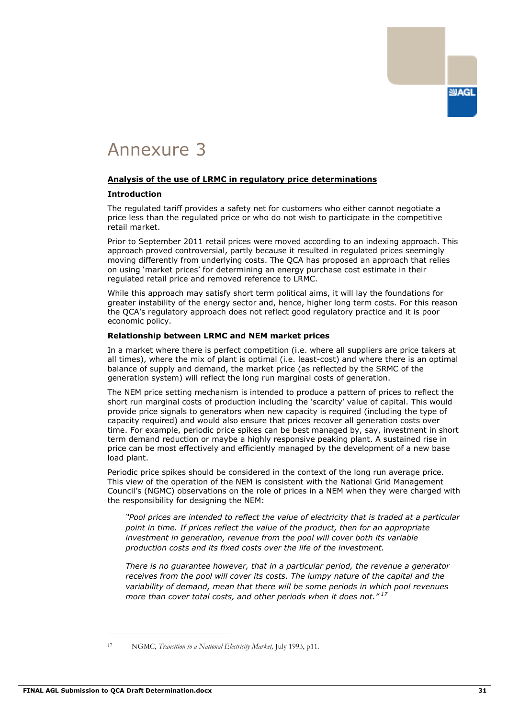

#### **Analysis of the use of LRMC in regulatory price determinations**

#### **Introduction**

The regulated tariff provides a safety net for customers who either cannot negotiate a price less than the regulated price or who do not wish to participate in the competitive retail market.

Prior to September 2011 retail prices were moved according to an indexing approach. This approach proved controversial, partly because it resulted in regulated prices seemingly moving differently from underlying costs. The QCA has proposed an approach that relies on using "market prices" for determining an energy purchase cost estimate in their regulated retail price and removed reference to LRMC.

While this approach may satisfy short term political aims, it will lay the foundations for greater instability of the energy sector and, hence, higher long term costs. For this reason the QCA"s regulatory approach does not reflect good regulatory practice and it is poor economic policy.

#### **Relationship between LRMC and NEM market prices**

In a market where there is perfect competition (i.e. where all suppliers are price takers at all times), where the mix of plant is optimal (i.e. least-cost) and where there is an optimal balance of supply and demand, the market price (as reflected by the SRMC of the generation system) will reflect the long run marginal costs of generation.

The NEM price setting mechanism is intended to produce a pattern of prices to reflect the short run marginal costs of production including the "scarcity" value of capital. This would provide price signals to generators when new capacity is required (including the type of capacity required) and would also ensure that prices recover all generation costs over time. For example, periodic price spikes can be best managed by, say, investment in short term demand reduction or maybe a highly responsive peaking plant. A sustained rise in price can be most effectively and efficiently managed by the development of a new base load plant.

Periodic price spikes should be considered in the context of the long run average price. This view of the operation of the NEM is consistent with the National Grid Management Council"s (NGMC) observations on the role of prices in a NEM when they were charged with the responsibility for designing the NEM:

*"Pool prices are intended to reflect the value of electricity that is traded at a particular point in time. If prices reflect the value of the product, then for an appropriate investment in generation, revenue from the pool will cover both its variable production costs and its fixed costs over the life of the investment.* 

*There is no guarantee however, that in a particular period, the revenue a generator receives from the pool will cover its costs. The lumpy nature of the capital and the variability of demand, mean that there will be some periods in which pool revenues more than cover total costs, and other periods when it does not." <sup>17</sup>*

<sup>-</sup>

<sup>17</sup> NGMC, *Transition to a National Electricity Market,* July 1993, p11.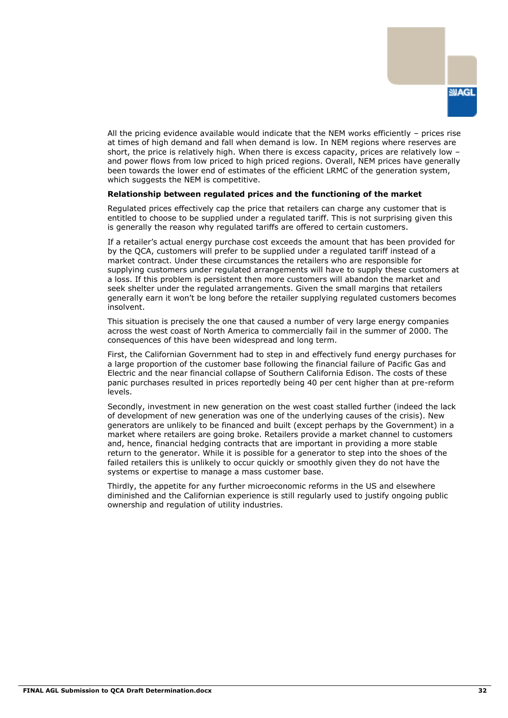

All the pricing evidence available would indicate that the NEM works efficiently  $-$  prices rise at times of high demand and fall when demand is low. In NEM regions where reserves are short, the price is relatively high. When there is excess capacity, prices are relatively low and power flows from low priced to high priced regions. Overall, NEM prices have generally been towards the lower end of estimates of the efficient LRMC of the generation system, which suggests the NEM is competitive.

#### **Relationship between regulated prices and the functioning of the market**

Regulated prices effectively cap the price that retailers can charge any customer that is entitled to choose to be supplied under a regulated tariff. This is not surprising given this is generally the reason why regulated tariffs are offered to certain customers.

If a retailer"s actual energy purchase cost exceeds the amount that has been provided for by the QCA, customers will prefer to be supplied under a regulated tariff instead of a market contract. Under these circumstances the retailers who are responsible for supplying customers under regulated arrangements will have to supply these customers at a loss. If this problem is persistent then more customers will abandon the market and seek shelter under the regulated arrangements. Given the small margins that retailers generally earn it won"t be long before the retailer supplying regulated customers becomes insolvent.

This situation is precisely the one that caused a number of very large energy companies across the west coast of North America to commercially fail in the summer of 2000. The consequences of this have been widespread and long term.

First, the Californian Government had to step in and effectively fund energy purchases for a large proportion of the customer base following the financial failure of Pacific Gas and Electric and the near financial collapse of Southern California Edison. The costs of these panic purchases resulted in prices reportedly being 40 per cent higher than at pre-reform levels.

Secondly, investment in new generation on the west coast stalled further (indeed the lack of development of new generation was one of the underlying causes of the crisis). New generators are unlikely to be financed and built (except perhaps by the Government) in a market where retailers are going broke. Retailers provide a market channel to customers and, hence, financial hedging contracts that are important in providing a more stable return to the generator. While it is possible for a generator to step into the shoes of the failed retailers this is unlikely to occur quickly or smoothly given they do not have the systems or expertise to manage a mass customer base.

Thirdly, the appetite for any further microeconomic reforms in the US and elsewhere diminished and the Californian experience is still regularly used to justify ongoing public ownership and regulation of utility industries.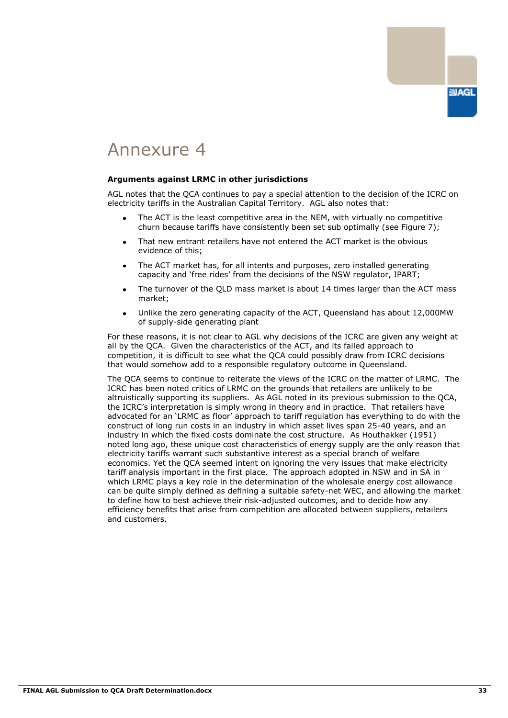

#### **Arguments against LRMC in other jurisdictions**

AGL notes that the QCA continues to pay a special attention to the decision of the ICRC on electricity tariffs in the Australian Capital Territory. AGL also notes that:

- The ACT is the least competitive area in the NEM, with virtually no competitive churn because tariffs have consistently been set sub optimally (see Figure 7);
- That new entrant retailers have not entered the ACT market is the obvious evidence of this;
- The ACT market has, for all intents and purposes, zero installed generating capacity and "free rides" from the decisions of the NSW regulator, IPART;
- The turnover of the QLD mass market is about 14 times larger than the ACT mass market;
- Unlike the zero generating capacity of the ACT, Queensland has about 12,000MW of supply-side generating plant

For these reasons, it is not clear to AGL why decisions of the ICRC are given any weight at all by the QCA. Given the characteristics of the ACT, and its failed approach to competition, it is difficult to see what the QCA could possibly draw from ICRC decisions that would somehow add to a responsible regulatory outcome in Queensland.

The QCA seems to continue to reiterate the views of the ICRC on the matter of LRMC. The ICRC has been noted critics of LRMC on the grounds that retailers are unlikely to be altruistically supporting its suppliers. As AGL noted in its previous submission to the QCA, the ICRC"s interpretation is simply wrong in theory and in practice. That retailers have advocated for an "LRMC as floor" approach to tariff regulation has everything to do with the construct of long run costs in an industry in which asset lives span 25-40 years, and an industry in which the fixed costs dominate the cost structure. As Houthakker (1951) noted long ago, these unique cost characteristics of energy supply are the only reason that electricity tariffs warrant such substantive interest as a special branch of welfare economics. Yet the QCA seemed intent on ignoring the very issues that make electricity tariff analysis important in the first place. The approach adopted in NSW and in SA in which LRMC plays a key role in the determination of the wholesale energy cost allowance can be quite simply defined as defining a suitable safety-net WEC, and allowing the market to define how to best achieve their risk-adjusted outcomes, and to decide how any efficiency benefits that arise from competition are allocated between suppliers, retailers and customers.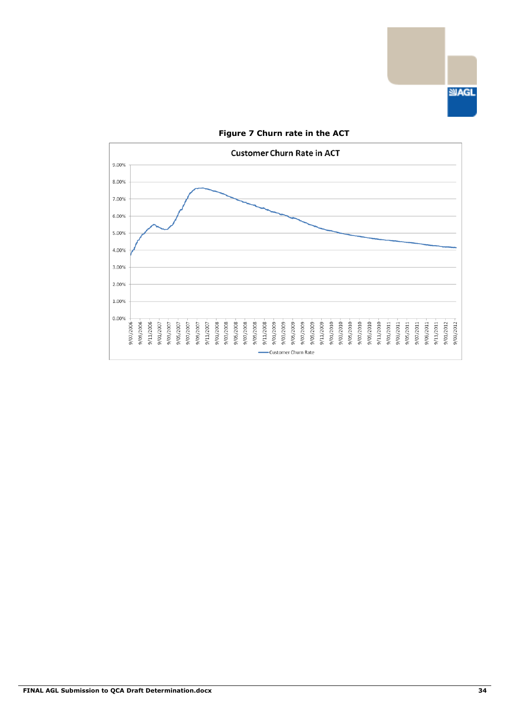



### **Figure 7 Churn rate in the ACT**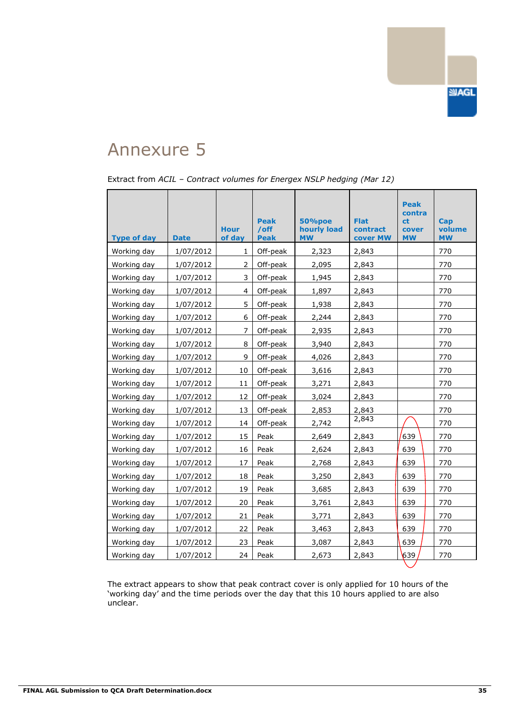

| Extract from ACIL - Contract volumes for Energex NSLP hedging (Mar 12) |  |  |  |  |
|------------------------------------------------------------------------|--|--|--|--|
|                                                                        |  |  |  |  |

| <b>Type of day</b> | <b>Date</b> | <b>Hour</b><br>of day | <b>Peak</b><br>/off<br><b>Peak</b> | 50%poe<br>hourly load<br><b>MW</b> | <b>Flat</b><br>contract<br>cover MW | <b>Peak</b><br>contra<br><sub>ct</sub><br>cover<br><b>MW</b> | Cap<br>volume<br><b>MW</b> |
|--------------------|-------------|-----------------------|------------------------------------|------------------------------------|-------------------------------------|--------------------------------------------------------------|----------------------------|
| Working day        | 1/07/2012   | 1                     | Off-peak                           | 2,323                              | 2,843                               |                                                              | 770                        |
| Working day        | 1/07/2012   | 2                     | Off-peak                           | 2,095                              | 2,843                               |                                                              | 770                        |
| Working day        | 1/07/2012   | 3                     | Off-peak                           | 1,945                              | 2,843                               |                                                              | 770                        |
| Working day        | 1/07/2012   | 4                     | Off-peak                           | 1,897                              | 2,843                               |                                                              | 770                        |
| Working day        | 1/07/2012   | 5                     | Off-peak                           | 1,938                              | 2,843                               |                                                              | 770                        |
| Working day        | 1/07/2012   | 6                     | Off-peak                           | 2,244                              | 2,843                               |                                                              | 770                        |
| Working day        | 1/07/2012   | $\overline{7}$        | Off-peak                           | 2,935                              | 2,843                               |                                                              | 770                        |
| Working day        | 1/07/2012   | 8                     | Off-peak                           | 3,940                              | 2,843                               |                                                              | 770                        |
| Working day        | 1/07/2012   | 9                     | Off-peak                           | 4,026                              | 2,843                               |                                                              | 770                        |
| Working day        | 1/07/2012   | 10                    | Off-peak                           | 3,616                              | 2,843                               |                                                              | 770                        |
| Working day        | 1/07/2012   | 11                    | Off-peak                           | 3,271                              | 2,843                               |                                                              | 770                        |
| Working day        | 1/07/2012   | 12                    | Off-peak                           | 3,024                              | 2,843                               |                                                              | 770                        |
| Working day        | 1/07/2012   | 13                    | Off-peak                           | 2,853                              | 2,843                               |                                                              | 770                        |
| Working day        | 1/07/2012   | 14                    | Off-peak                           | 2,742                              | 2,843                               |                                                              | 770                        |
| Working day        | 1/07/2012   | 15                    | Peak                               | 2,649                              | 2,843                               | 639                                                          | 770                        |
| Working day        | 1/07/2012   | 16                    | Peak                               | 2,624                              | 2,843                               | 639                                                          | 770                        |
| Working day        | 1/07/2012   | 17                    | Peak                               | 2,768                              | 2,843                               | 639                                                          | 770                        |
| Working day        | 1/07/2012   | 18                    | Peak                               | 3,250                              | 2,843                               | 639                                                          | 770                        |
| Working day        | 1/07/2012   | 19                    | Peak                               | 3,685                              | 2,843                               | 639                                                          | 770                        |
| Working day        | 1/07/2012   | 20                    | Peak                               | 3,761                              | 2,843                               | 639                                                          | 770                        |
| Working day        | 1/07/2012   | 21                    | Peak                               | 3,771                              | 2,843                               | 639                                                          | 770                        |
| Working day        | 1/07/2012   | 22                    | Peak                               | 3,463                              | 2,843                               | 639                                                          | 770                        |
| Working day        | 1/07/2012   | 23                    | Peak                               | 3,087                              | 2,843                               | 639                                                          | 770                        |
| Working day        | 1/07/2012   | 24                    | Peak                               | 2,673                              | 2,843                               | 639                                                          | 770                        |

The extract appears to show that peak contract cover is only applied for 10 hours of the "working day" and the time periods over the day that this 10 hours applied to are also unclear.